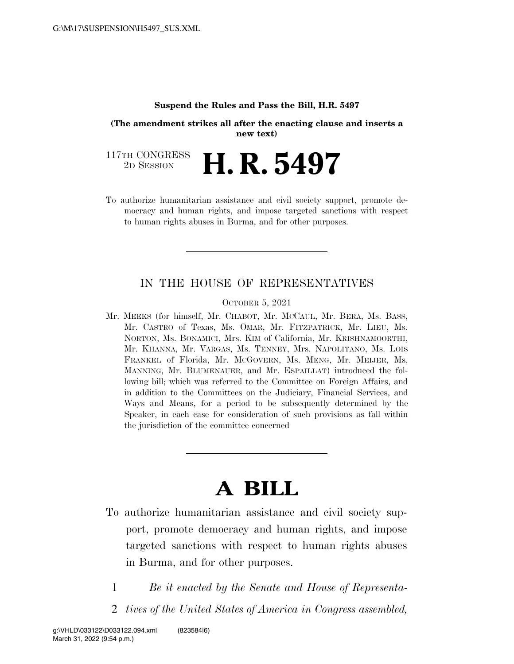### **Suspend the Rules and Pass the Bill, H.R. 5497**

**(The amendment strikes all after the enacting clause and inserts a new text)** 

117TH CONGRESS<br>2D SESSION 2D SESSION **H. R. 5497** 

To authorize humanitarian assistance and civil society support, promote democracy and human rights, and impose targeted sanctions with respect to human rights abuses in Burma, and for other purposes.

### IN THE HOUSE OF REPRESENTATIVES

OCTOBER 5, 2021

Mr. MEEKS (for himself, Mr. CHABOT, Mr. MCCAUL, Mr. BERA, Ms. BASS, Mr. CASTRO of Texas, Ms. OMAR, Mr. FITZPATRICK, Mr. LIEU, Ms. NORTON, Ms. BONAMICI, Mrs. KIM of California, Mr. KRISHNAMOORTHI, Mr. KHANNA, Mr. VARGAS, Ms. TENNEY, Mrs. NAPOLITANO, Ms. LOIS FRANKEL of Florida, Mr. MCGOVERN, Ms. MENG, Mr. MEIJER, Ms. MANNING, Mr. BLUMENAUER, and Mr. ESPAILLAT) introduced the following bill; which was referred to the Committee on Foreign Affairs, and in addition to the Committees on the Judiciary, Financial Services, and Ways and Means, for a period to be subsequently determined by the Speaker, in each case for consideration of such provisions as fall within the jurisdiction of the committee concerned

# **A BILL**

- To authorize humanitarian assistance and civil society support, promote democracy and human rights, and impose targeted sanctions with respect to human rights abuses in Burma, and for other purposes.
	- 1 *Be it enacted by the Senate and House of Representa-*
	- 2 *tives of the United States of America in Congress assembled,*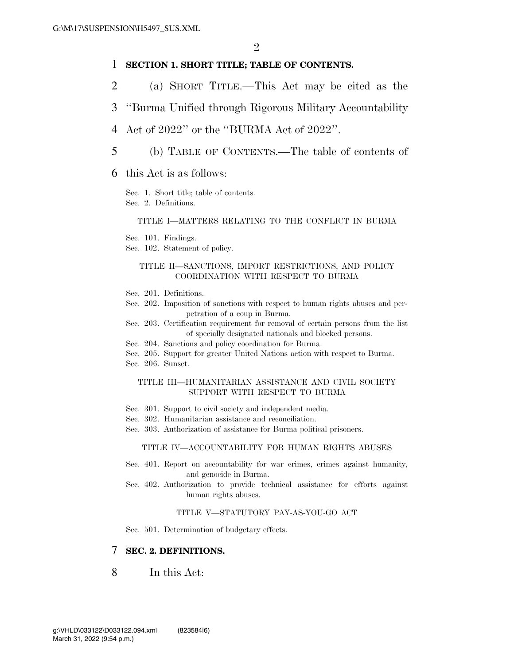### 1 **SECTION 1. SHORT TITLE; TABLE OF CONTENTS.**

- 2 (a) SHORT TITLE.—This Act may be cited as the
- 3 ''Burma Unified through Rigorous Military Accountability

### 4 Act of 2022'' or the ''BURMA Act of 2022''.

- 5 (b) TABLE OF CONTENTS.—The table of contents of
- 6 this Act is as follows:

Sec. 1. Short title; table of contents. Sec. 2. Definitions.

### TITLE I—MATTERS RELATING TO THE CONFLICT IN BURMA

Sec. 101. Findings.

Sec. 102. Statement of policy.

#### TITLE II—SANCTIONS, IMPORT RESTRICTIONS, AND POLICY COORDINATION WITH RESPECT TO BURMA

- Sec. 201. Definitions.
- Sec. 202. Imposition of sanctions with respect to human rights abuses and perpetration of a coup in Burma.
- Sec. 203. Certification requirement for removal of certain persons from the list of specially designated nationals and blocked persons.
- Sec. 204. Sanctions and policy coordination for Burma.
- Sec. 205. Support for greater United Nations action with respect to Burma. Sec. 206. Sunset.

#### TITLE III—HUMANITARIAN ASSISTANCE AND CIVIL SOCIETY SUPPORT WITH RESPECT TO BURMA

- Sec. 301. Support to civil society and independent media.
- Sec. 302. Humanitarian assistance and reconciliation.
- Sec. 303. Authorization of assistance for Burma political prisoners.

#### TITLE IV—ACCOUNTABILITY FOR HUMAN RIGHTS ABUSES

- Sec. 401. Report on accountability for war crimes, crimes against humanity, and genocide in Burma.
- Sec. 402. Authorization to provide technical assistance for efforts against human rights abuses.

#### TITLE V—STATUTORY PAY-AS-YOU-GO ACT

Sec. 501. Determination of budgetary effects.

### 7 **SEC. 2. DEFINITIONS.**

## 8 In this Act: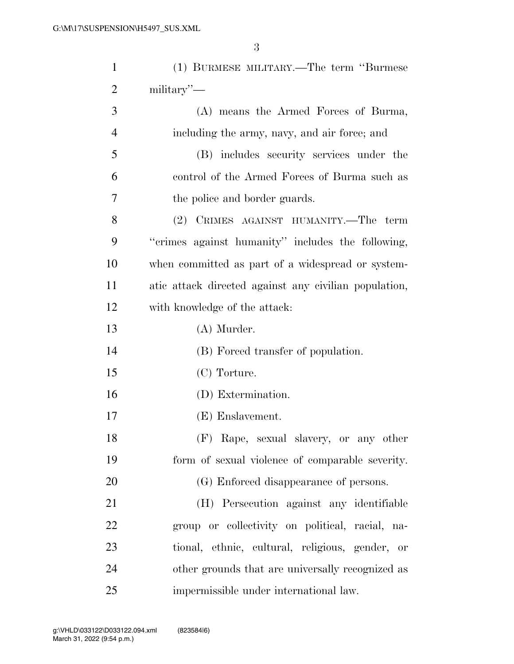| $\mathbf{1}$   | (1) BURMESE MILITARY.—The term "Burmese               |
|----------------|-------------------------------------------------------|
| $\overline{2}$ | mality'                                               |
| 3              | (A) means the Armed Forces of Burma,                  |
| $\overline{4}$ | including the army, navy, and air force; and          |
| 5              | (B) includes security services under the              |
| 6              | control of the Armed Forces of Burma such as          |
| 7              | the police and border guards.                         |
| 8              | (2) CRIMES AGAINST HUMANITY.—The term                 |
| 9              | "crimes against humanity" includes the following,     |
| 10             | when committed as part of a widespread or system-     |
| 11             | atic attack directed against any civilian population, |
| 12             | with knowledge of the attack:                         |
| 13             | (A) Murder.                                           |
| 14             | (B) Forced transfer of population.                    |
| 15             | (C) Torture.                                          |
| 16             | (D) Extermination.                                    |
| 17             | (E) Enslavement.                                      |
| 18             | (F) Rape, sexual slavery, or any other                |
| 19             | form of sexual violence of comparable severity.       |
| 20             | (G) Enforced disappearance of persons.                |
| 21             | (H) Persecution against any identifiable              |
| 22             | group or collectivity on political, racial, na-       |
| 23             | tional, ethnic, cultural, religious, gender, or       |
| 24             | other grounds that are universally recognized as      |
| 25             | impermissible under international law.                |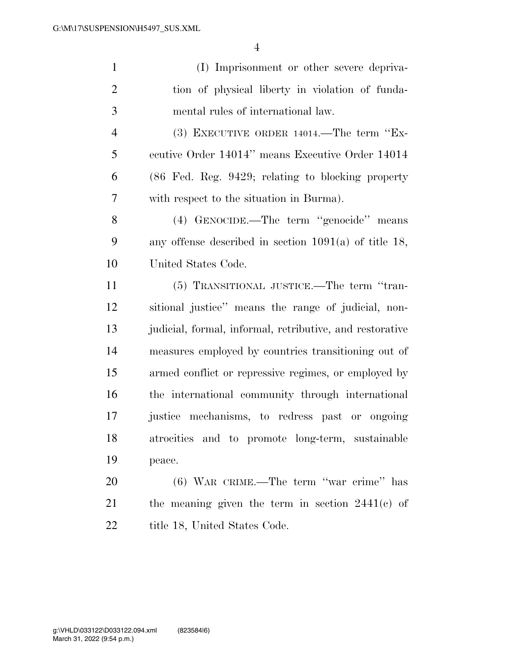| $\mathbf{1}$   | (I) Imprisonment or other severe depriva-                    |
|----------------|--------------------------------------------------------------|
| $\overline{2}$ | tion of physical liberty in violation of funda-              |
| 3              | mental rules of international law.                           |
| $\overline{4}$ | $(3)$ EXECUTIVE ORDER 14014.—The term "Ex-                   |
| 5              | ecutive Order 14014" means Executive Order 14014             |
| 6              | $(86 \text{ Fed. Reg. } 9429;$ relating to blocking property |
| 7              | with respect to the situation in Burma).                     |
| 8              | (4) GENOCIDE.—The term "genocide" means                      |
| 9              | any offense described in section $1091(a)$ of title 18,      |
| 10             | United States Code.                                          |
| 11             | (5) TRANSITIONAL JUSTICE.—The term "tran-                    |
| 12             | sitional justice" means the range of judicial, non-          |
| 13             | judicial, formal, informal, retributive, and restorative     |
| 14             | measures employed by countries transitioning out of          |
| 15             | armed conflict or repressive regimes, or employed by         |
| 16             | the international community through international            |
| 17             | justice mechanisms, to redress past or ongoing               |

 atrocities and to promote long-term, sustainable peace.

 (6) WAR CRIME.—The term ''war crime'' has the meaning given the term in section 2441(c) of 22 title 18, United States Code.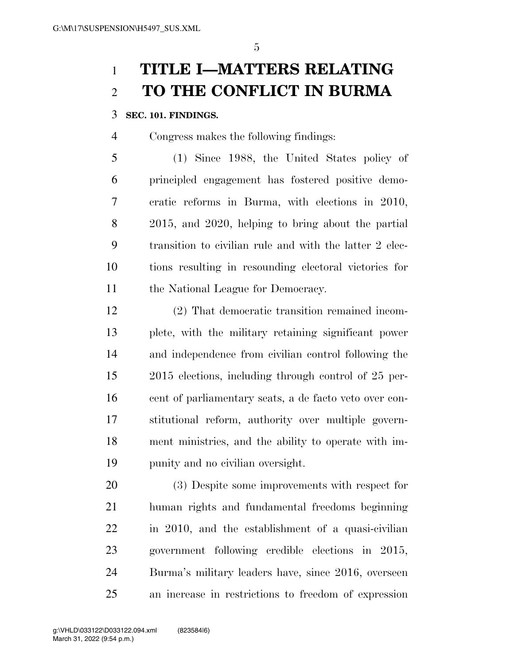# **TITLE I—MATTERS RELATING TO THE CONFLICT IN BURMA**

# **SEC. 101. FINDINGS.**

Congress makes the following findings:

 (1) Since 1988, the United States policy of principled engagement has fostered positive demo- cratic reforms in Burma, with elections in 2010, 2015, and 2020, helping to bring about the partial transition to civilian rule and with the latter 2 elec- tions resulting in resounding electoral victories for 11 the National League for Democracy.

 (2) That democratic transition remained incom- plete, with the military retaining significant power and independence from civilian control following the 2015 elections, including through control of 25 per- cent of parliamentary seats, a de facto veto over con- stitutional reform, authority over multiple govern- ment ministries, and the ability to operate with im-punity and no civilian oversight.

 (3) Despite some improvements with respect for human rights and fundamental freedoms beginning in 2010, and the establishment of a quasi-civilian government following credible elections in 2015, Burma's military leaders have, since 2016, overseen an increase in restrictions to freedom of expression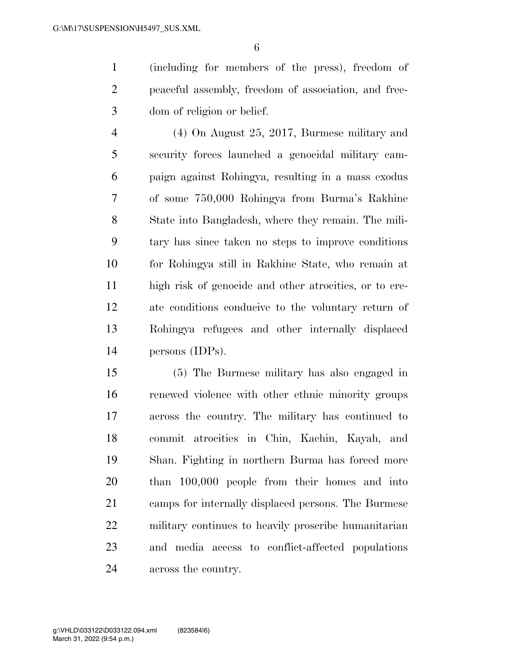(including for members of the press), freedom of peaceful assembly, freedom of association, and free-dom of religion or belief.

 (4) On August 25, 2017, Burmese military and security forces launched a genocidal military cam- paign against Rohingya, resulting in a mass exodus of some 750,000 Rohingya from Burma's Rakhine State into Bangladesh, where they remain. The mili- tary has since taken no steps to improve conditions for Rohingya still in Rakhine State, who remain at high risk of genocide and other atrocities, or to cre- ate conditions conducive to the voluntary return of Rohingya refugees and other internally displaced persons (IDPs).

 (5) The Burmese military has also engaged in renewed violence with other ethnic minority groups across the country. The military has continued to commit atrocities in Chin, Kachin, Kayah, and Shan. Fighting in northern Burma has forced more than 100,000 people from their homes and into camps for internally displaced persons. The Burmese military continues to heavily proscribe humanitarian and media access to conflict-affected populations across the country.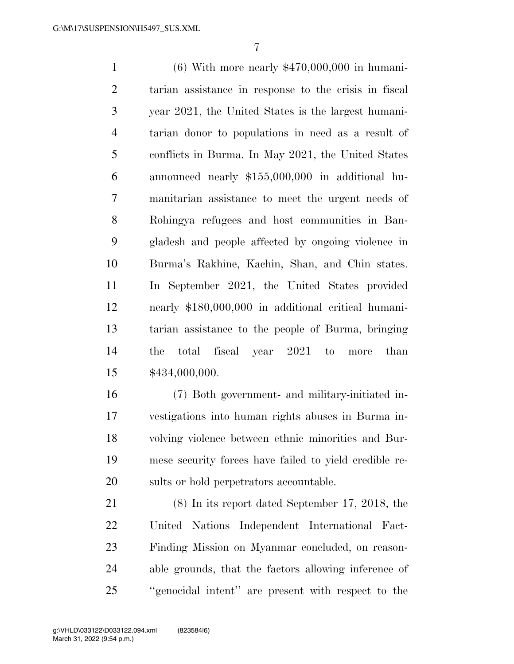(6) With more nearly \$470,000,000 in humani- tarian assistance in response to the crisis in fiscal year 2021, the United States is the largest humani- tarian donor to populations in need as a result of conflicts in Burma. In May 2021, the United States announced nearly \$155,000,000 in additional hu- manitarian assistance to meet the urgent needs of Rohingya refugees and host communities in Ban- gladesh and people affected by ongoing violence in Burma's Rakhine, Kachin, Shan, and Chin states. In September 2021, the United States provided nearly \$180,000,000 in additional critical humani- tarian assistance to the people of Burma, bringing the total fiscal year 2021 to more than \$434,000,000.

 (7) Both government- and military-initiated in- vestigations into human rights abuses in Burma in- volving violence between ethnic minorities and Bur- mese security forces have failed to yield credible re-sults or hold perpetrators accountable.

 (8) In its report dated September 17, 2018, the United Nations Independent International Fact- Finding Mission on Myanmar concluded, on reason- able grounds, that the factors allowing inference of ''genocidal intent'' are present with respect to the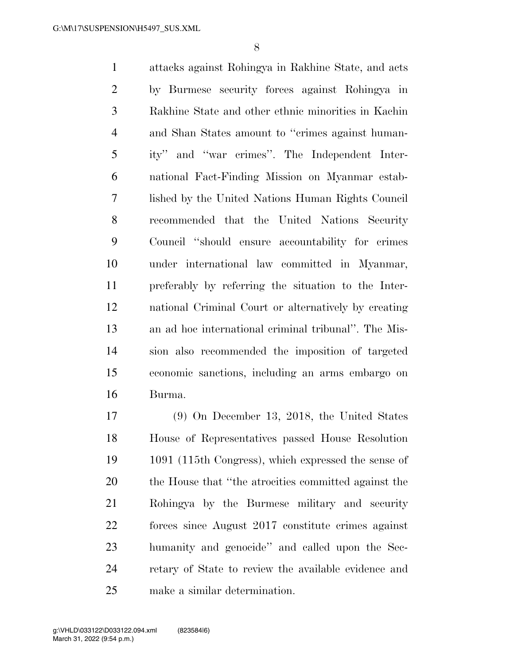attacks against Rohingya in Rakhine State, and acts by Burmese security forces against Rohingya in Rakhine State and other ethnic minorities in Kachin and Shan States amount to ''crimes against human- ity'' and ''war crimes''. The Independent Inter- national Fact-Finding Mission on Myanmar estab- lished by the United Nations Human Rights Council recommended that the United Nations Security Council ''should ensure accountability for crimes under international law committed in Myanmar, preferably by referring the situation to the Inter- national Criminal Court or alternatively by creating an ad hoc international criminal tribunal''. The Mis- sion also recommended the imposition of targeted economic sanctions, including an arms embargo on Burma.

 (9) On December 13, 2018, the United States House of Representatives passed House Resolution 1091 (115th Congress), which expressed the sense of the House that ''the atrocities committed against the Rohingya by the Burmese military and security forces since August 2017 constitute crimes against humanity and genocide'' and called upon the Sec- retary of State to review the available evidence and make a similar determination.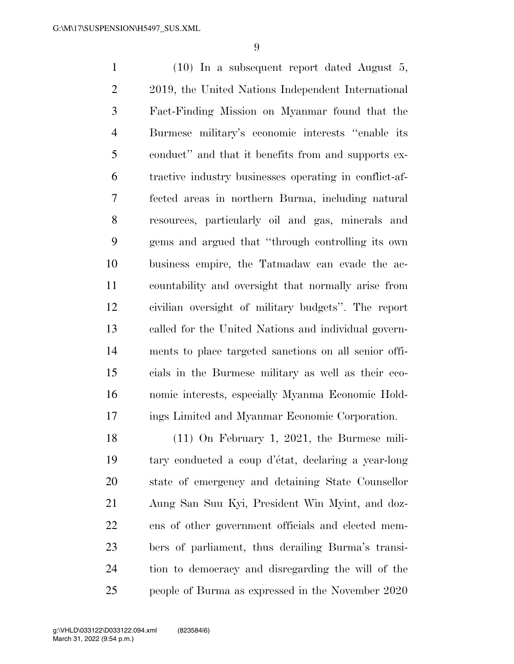(10) In a subsequent report dated August 5, 2019, the United Nations Independent International Fact-Finding Mission on Myanmar found that the Burmese military's economic interests ''enable its conduct'' and that it benefits from and supports ex- tractive industry businesses operating in conflict-af- fected areas in northern Burma, including natural resources, particularly oil and gas, minerals and gems and argued that ''through controlling its own business empire, the Tatmadaw can evade the ac- countability and oversight that normally arise from civilian oversight of military budgets''. The report called for the United Nations and individual govern- ments to place targeted sanctions on all senior offi- cials in the Burmese military as well as their eco- nomic interests, especially Myanma Economic Hold-ings Limited and Myanmar Economic Corporation.

 (11) On February 1, 2021, the Burmese mili-19 tary conducted a coup d'état, declaring a year-long state of emergency and detaining State Counsellor Aung San Suu Kyi, President Win Myint, and doz- ens of other government officials and elected mem- bers of parliament, thus derailing Burma's transi- tion to democracy and disregarding the will of the people of Burma as expressed in the November 2020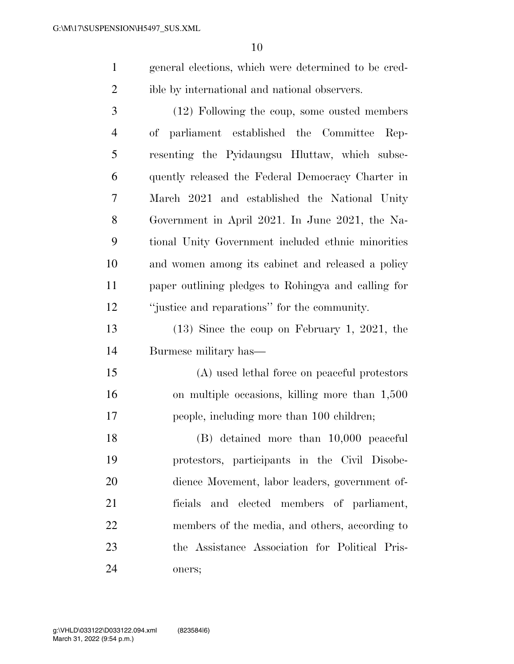- general elections, which were determined to be cred-ible by international and national observers.
- (12) Following the coup, some ousted members of parliament established the Committee Rep- resenting the Pyidaungsu Hluttaw, which subse- quently released the Federal Democracy Charter in March 2021 and established the National Unity Government in April 2021. In June 2021, the Na- tional Unity Government included ethnic minorities and women among its cabinet and released a policy paper outlining pledges to Rohingya and calling for ''justice and reparations'' for the community.
- (13) Since the coup on February 1, 2021, the Burmese military has—
- (A) used lethal force on peaceful protestors on multiple occasions, killing more than 1,500 people, including more than 100 children;
- (B) detained more than 10,000 peaceful protestors, participants in the Civil Disobe- dience Movement, labor leaders, government of- ficials and elected members of parliament, members of the media, and others, according to the Assistance Association for Political Pris-oners;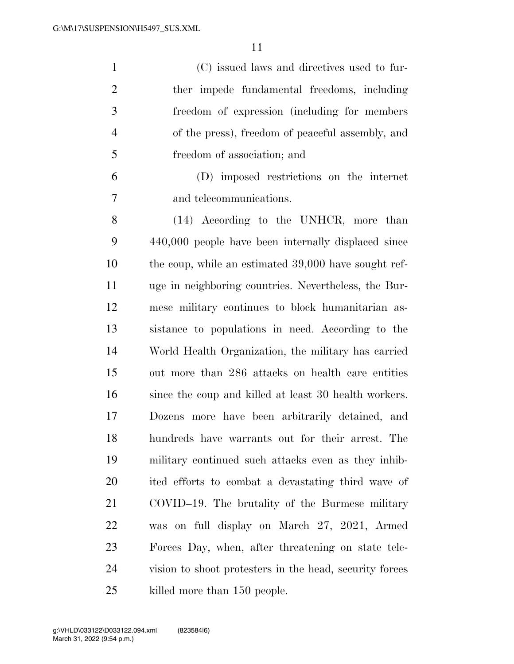(C) issued laws and directives used to fur- ther impede fundamental freedoms, including freedom of expression (including for members of the press), freedom of peaceful assembly, and freedom of association; and

 (D) imposed restrictions on the internet and telecommunications.

 (14) According to the UNHCR, more than 440,000 people have been internally displaced since the coup, while an estimated 39,000 have sought ref- uge in neighboring countries. Nevertheless, the Bur- mese military continues to block humanitarian as- sistance to populations in need. According to the World Health Organization, the military has carried out more than 286 attacks on health care entities since the coup and killed at least 30 health workers. Dozens more have been arbitrarily detained, and hundreds have warrants out for their arrest. The military continued such attacks even as they inhib- ited efforts to combat a devastating third wave of COVID–19. The brutality of the Burmese military was on full display on March 27, 2021, Armed Forces Day, when, after threatening on state tele- vision to shoot protesters in the head, security forces killed more than 150 people.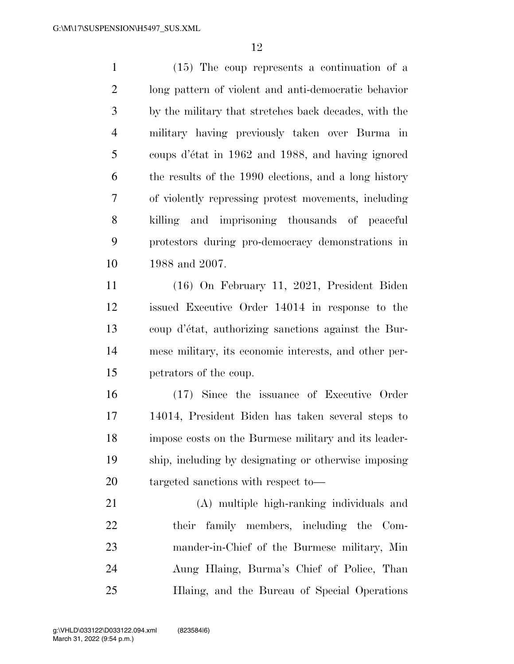(15) The coup represents a continuation of a long pattern of violent and anti-democratic behavior by the military that stretches back decades, with the military having previously taken over Burma in coups d'e´tat in 1962 and 1988, and having ignored the results of the 1990 elections, and a long history of violently repressing protest movements, including killing and imprisoning thousands of peaceful protestors during pro-democracy demonstrations in 1988 and 2007.

 (16) On February 11, 2021, President Biden issued Executive Order 14014 in response to the coup d'e´tat, authorizing sanctions against the Bur- mese military, its economic interests, and other per-petrators of the coup.

 (17) Since the issuance of Executive Order 14014, President Biden has taken several steps to impose costs on the Burmese military and its leader- ship, including by designating or otherwise imposing targeted sanctions with respect to—

 (A) multiple high-ranking individuals and their family members, including the Com- mander-in-Chief of the Burmese military, Min Aung Hlaing, Burma's Chief of Police, Than Hlaing, and the Bureau of Special Operations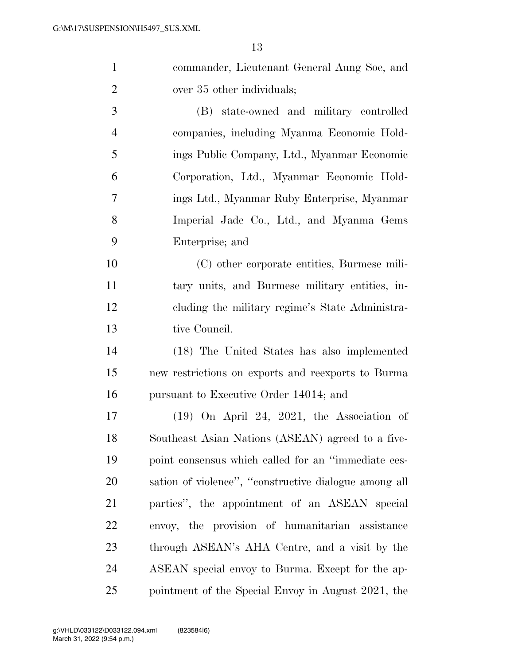| $\mathbf{1}$   | commander, Lieutenant General Aung Soe, and           |
|----------------|-------------------------------------------------------|
| $\overline{2}$ | over 35 other individuals;                            |
| 3              | (B) state-owned and military controlled               |
| $\overline{4}$ | companies, including Myanma Economic Hold-            |
| 5              | ings Public Company, Ltd., Myanmar Economic           |
| 6              | Corporation, Ltd., Myanmar Economic Hold-             |
| 7              | ings Ltd., Myanmar Ruby Enterprise, Myanmar           |
| 8              | Imperial Jade Co., Ltd., and Myanma Gems              |
| 9              | Enterprise; and                                       |
| 10             | (C) other corporate entities, Burmese mili-           |
| 11             | tary units, and Burmese military entities, in-        |
| 12             | cluding the military regime's State Administra-       |
| 13             | tive Council.                                         |
| 14             | (18) The United States has also implemented           |
| 15             | new restrictions on exports and reexports to Burma    |
| 16             | pursuant to Executive Order 14014; and                |
| 17             | $(19)$ On April 24, 2021, the Association of          |
| 18             | Southeast Asian Nations (ASEAN) agreed to a five-     |
| 19             | point consensus which called for an "immediate ces-   |
| 20             | sation of violence", "constructive dialogue among all |
| 21             | parties", the appointment of an ASEAN special         |
| 22             | envoy, the provision of humanitarian assistance       |
| 23             | through ASEAN's AHA Centre, and a visit by the        |
| 24             | ASEAN special envoy to Burma. Except for the ap-      |
| 25             | pointment of the Special Envoy in August 2021, the    |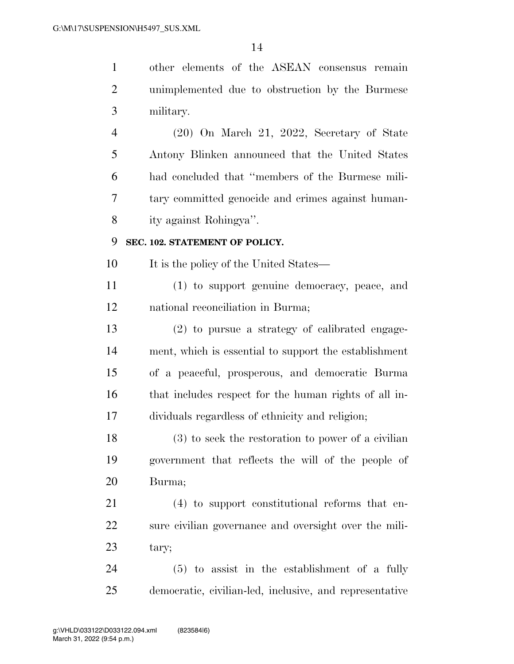| $\mathbf{1}$   | other elements of the ASEAN consensus remain            |
|----------------|---------------------------------------------------------|
| $\overline{2}$ | unimplemented due to obstruction by the Burmese         |
| 3              | military.                                               |
| 4              | $(20)$ On March 21, 2022, Secretary of State            |
| 5              | Antony Blinken announced that the United States         |
| 6              | had concluded that "members of the Burmese mili-        |
| 7              | tary committed genocide and crimes against human-       |
| 8              | ity against Rohingya".                                  |
| 9              | SEC. 102. STATEMENT OF POLICY.                          |
| 10             | It is the policy of the United States—                  |
| 11             | (1) to support genuine democracy, peace, and            |
| 12             | national reconciliation in Burma;                       |
| 13             | (2) to pursue a strategy of calibrated engage-          |
| 14             | ment, which is essential to support the establishment   |
| 15             | of a peaceful, prosperous, and democratic Burma         |
| 16             | that includes respect for the human rights of all in-   |
| 17             | dividuals regardless of ethnicity and religion;         |
| 18             | $(3)$ to seek the restoration to power of a civilian    |
| 19             | government that reflects the will of the people of      |
| 20             | Burma;                                                  |
| 21             | (4) to support constitutional reforms that en-          |
| 22             | sure civilian governance and oversight over the mili-   |
| 23             | tary;                                                   |
| 24             | $(5)$ to assist in the establishment of a fully         |
| 25             | democratic, civilian-led, inclusive, and representative |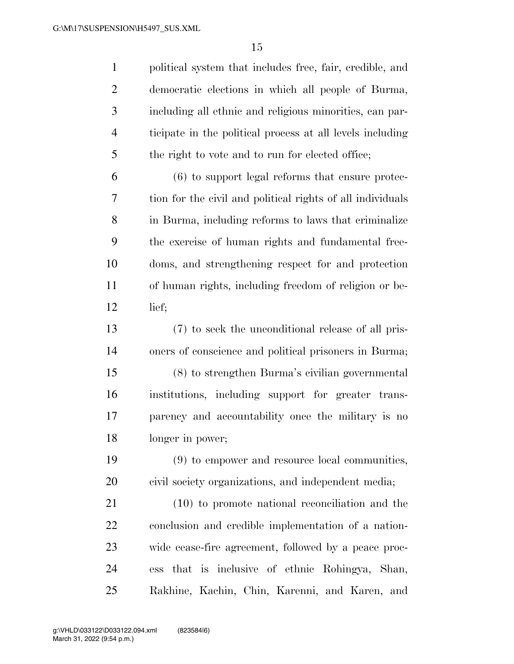| $\mathbf{1}$   | political system that includes free, fair, credible, and   |
|----------------|------------------------------------------------------------|
| $\overline{2}$ | democratic elections in which all people of Burma,         |
| 3              | including all ethnic and religious minorities, can par-    |
| $\overline{4}$ | ticipate in the political process at all levels including  |
| 5              | the right to vote and to run for elected office;           |
| 6              | $(6)$ to support legal reforms that ensure protec-         |
| 7              | tion for the civil and political rights of all individuals |
| $8\,$          | in Burma, including reforms to laws that criminalize       |
| 9              | the exercise of human rights and fundamental free-         |
| 10             | doms, and strengthening respect for and protection         |
| 11             | of human rights, including freedom of religion or be-      |
| 12             | lief;                                                      |
| 13             | (7) to seek the unconditional release of all pris-         |
| 14             | oners of conscience and political prisoners in Burma;      |
| 15             | (8) to strengthen Burma's civilian governmental            |
| 16             | institutions, including support for greater trans-         |
| 17             | parency and accountability once the military is no         |
| 18             | longer in power;                                           |
| 19             | (9) to empower and resource local communities,             |
| 20             | civil society organizations, and independent media;        |
| 21             | $(10)$ to promote national reconciliation and the          |
| 22             | conclusion and credible implementation of a nation-        |
| 23             | wide cease-fire agreement, followed by a peace proc-       |
| 24             | ess that is inclusive of ethnic Rohingya, Shan,            |
| 25             | Rakhine, Kachin, Chin, Karenni, and Karen, and             |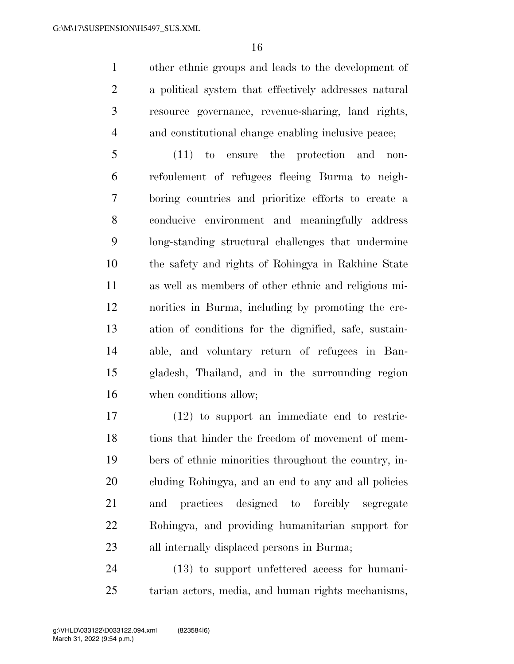other ethnic groups and leads to the development of a political system that effectively addresses natural resource governance, revenue-sharing, land rights, and constitutional change enabling inclusive peace;

 (11) to ensure the protection and non- refoulement of refugees fleeing Burma to neigh- boring countries and prioritize efforts to create a conducive environment and meaningfully address long-standing structural challenges that undermine the safety and rights of Rohingya in Rakhine State as well as members of other ethnic and religious mi- norities in Burma, including by promoting the cre- ation of conditions for the dignified, safe, sustain- able, and voluntary return of refugees in Ban- gladesh, Thailand, and in the surrounding region when conditions allow;

 (12) to support an immediate end to restric-18 tions that hinder the freedom of movement of mem- bers of ethnic minorities throughout the country, in- cluding Rohingya, and an end to any and all policies and practices designed to forcibly segregate Rohingya, and providing humanitarian support for all internally displaced persons in Burma;

 (13) to support unfettered access for humani-tarian actors, media, and human rights mechanisms,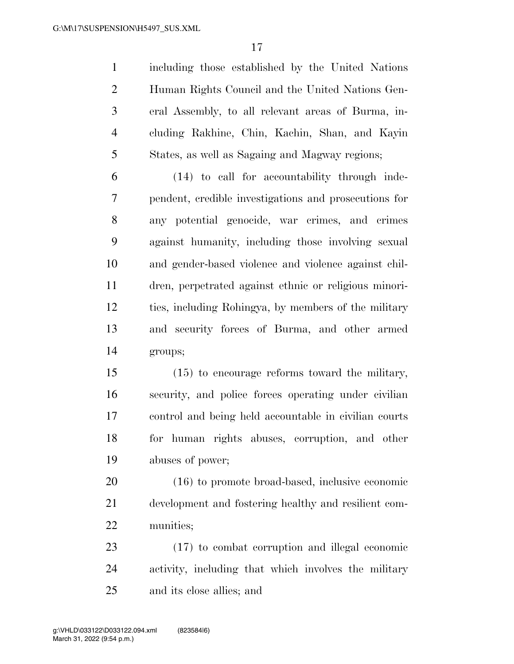including those established by the United Nations Human Rights Council and the United Nations Gen- eral Assembly, to all relevant areas of Burma, in- cluding Rakhine, Chin, Kachin, Shan, and Kayin States, as well as Sagaing and Magway regions;

 (14) to call for accountability through inde- pendent, credible investigations and prosecutions for any potential genocide, war crimes, and crimes against humanity, including those involving sexual and gender-based violence and violence against chil- dren, perpetrated against ethnic or religious minori- ties, including Rohingya, by members of the military and security forces of Burma, and other armed groups;

 (15) to encourage reforms toward the military, security, and police forces operating under civilian control and being held accountable in civilian courts for human rights abuses, corruption, and other abuses of power;

 (16) to promote broad-based, inclusive economic development and fostering healthy and resilient com-munities;

 (17) to combat corruption and illegal economic activity, including that which involves the military and its close allies; and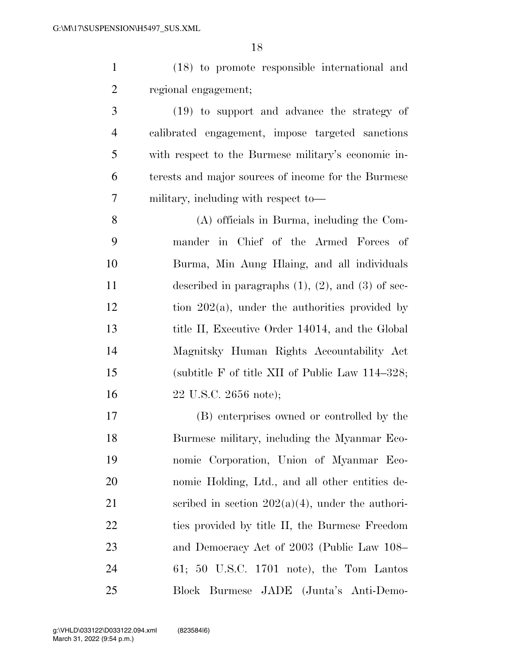(18) to promote responsible international and regional engagement;

 (19) to support and advance the strategy of calibrated engagement, impose targeted sanctions with respect to the Burmese military's economic in- terests and major sources of income for the Burmese military, including with respect to—

 (A) officials in Burma, including the Com- mander in Chief of the Armed Forces of Burma, Min Aung Hlaing, and all individuals described in paragraphs (1), (2), and (3) of sec- tion  $202(a)$ , under the authorities provided by title II, Executive Order 14014, and the Global Magnitsky Human Rights Accountability Act (subtitle F of title XII of Public Law 114–328; 22 U.S.C. 2656 note);

 (B) enterprises owned or controlled by the Burmese military, including the Myanmar Eco- nomic Corporation, Union of Myanmar Eco- nomic Holding, Ltd., and all other entities de-21 seribed in section  $202(a)(4)$ , under the authori-22 ties provided by title II, the Burmese Freedom and Democracy Act of 2003 (Public Law 108– 61; 50 U.S.C. 1701 note), the Tom Lantos Block Burmese JADE (Junta's Anti-Demo-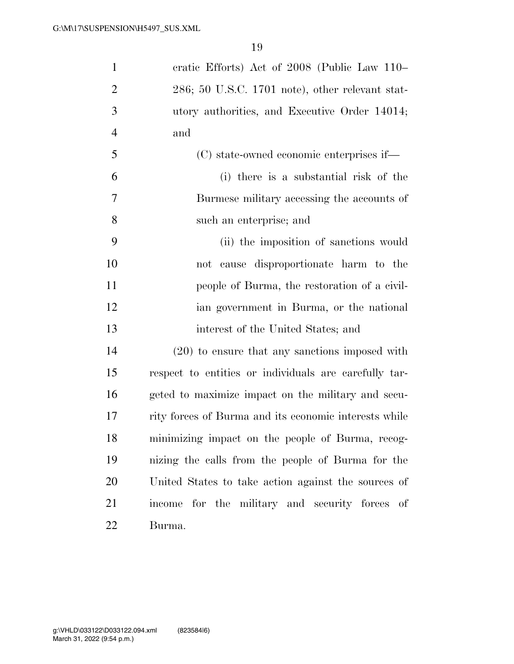| $\mathbf{1}$   | eratic Efforts) Act of 2008 (Public Law 110–          |
|----------------|-------------------------------------------------------|
| $\overline{2}$ | $286$ ; 50 U.S.C. 1701 note), other relevant stat-    |
| 3              | utory authorities, and Executive Order 14014;         |
| $\overline{4}$ | and                                                   |
| 5              | (C) state-owned economic enterprises if—              |
| 6              | (i) there is a substantial risk of the                |
| 7              | Burmese military accessing the accounts of            |
| 8              | such an enterprise; and                               |
| 9              | (ii) the imposition of sanctions would                |
| 10             | not cause disproportionate harm to the                |
| 11             | people of Burma, the restoration of a civil-          |
| 12             | ian government in Burma, or the national              |
| 13             | interest of the United States; and                    |
| 14             | $(20)$ to ensure that any sanctions imposed with      |
| 15             | respect to entities or individuals are carefully tar- |
| 16             | geted to maximize impact on the military and secu-    |
| 17             | rity forces of Burma and its economic interests while |
| 18             | minimizing impact on the people of Burma, recog-      |
| 19             | nizing the calls from the people of Burma for the     |
| 20             | United States to take action against the sources of   |
| 21             | income for the military and security forces of        |
| <u>22</u>      | Burma.                                                |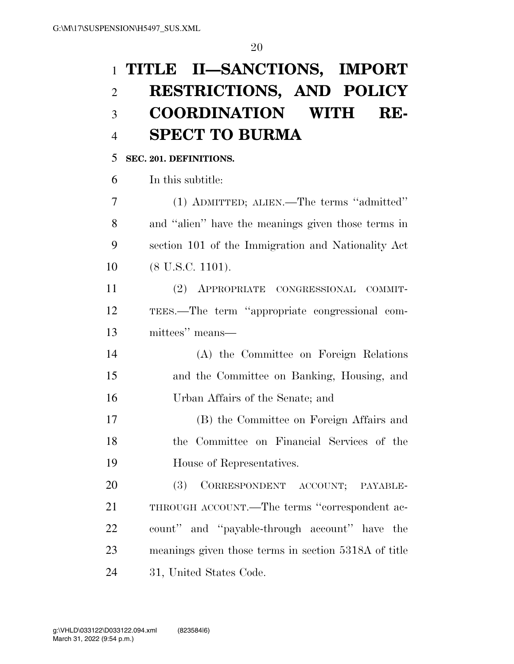# **TITLE II—SANCTIONS, IMPORT RESTRICTIONS, AND POLICY COORDINATION WITH RE-SPECT TO BURMA**

## **SEC. 201. DEFINITIONS.**

In this subtitle:

 (1) ADMITTED; ALIEN.—The terms ''admitted'' and ''alien'' have the meanings given those terms in section 101 of the Immigration and Nationality Act 10 (8 U.S.C. 1101).

 (2) APPROPRIATE CONGRESSIONAL COMMIT- TEES.—The term ''appropriate congressional com-mittees'' means—

 (A) the Committee on Foreign Relations and the Committee on Banking, Housing, and Urban Affairs of the Senate; and

 (B) the Committee on Foreign Affairs and the Committee on Financial Services of the House of Representatives.

 (3) CORRESPONDENT ACCOUNT; PAYABLE- THROUGH ACCOUNT.—The terms ''correspondent ac- count'' and ''payable-through account'' have the meanings given those terms in section 5318A of title 31, United States Code.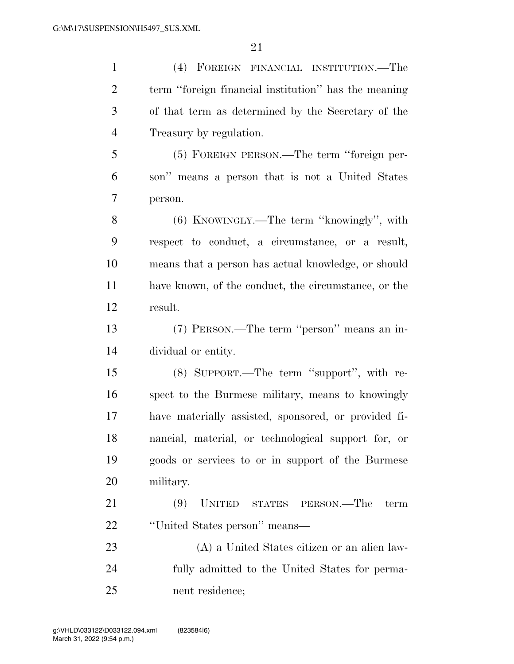| $\mathbf{1}$   | (4) FOREIGN FINANCIAL INSTITUTION.—The               |
|----------------|------------------------------------------------------|
| $\overline{2}$ | term "foreign financial institution" has the meaning |
| 3              | of that term as determined by the Secretary of the   |
| $\overline{4}$ | Treasury by regulation.                              |
| 5              | (5) FOREIGN PERSON.—The term "foreign per-           |
| 6              | son" means a person that is not a United States      |
| 7              | person.                                              |
| 8              | (6) KNOWINGLY.—The term "knowingly", with            |
| 9              | respect to conduct, a circumstance, or a result,     |
| 10             | means that a person has actual knowledge, or should  |
| 11             | have known, of the conduct, the circumstance, or the |
| 12             | result.                                              |
| 13             | (7) PERSON.—The term "person" means an in-           |
| 14             | dividual or entity.                                  |
| 15             | (8) SUPPORT.—The term "support", with re-            |
| 16             | spect to the Burmese military, means to knowingly    |
| 17             | have materially assisted, sponsored, or provided fi- |
| 18             | nancial, material, or technological support for, or  |
| 19             | goods or services to or in support of the Burmese    |
| 20             | military.                                            |
| 21             | (9)<br>UNITED STATES PERSON.—The<br>term             |
| 22             | "United States person" means—                        |
| 23             | (A) a United States citizen or an alien law-         |
| 24             | fully admitted to the United States for perma-       |
| 25             | nent residence;                                      |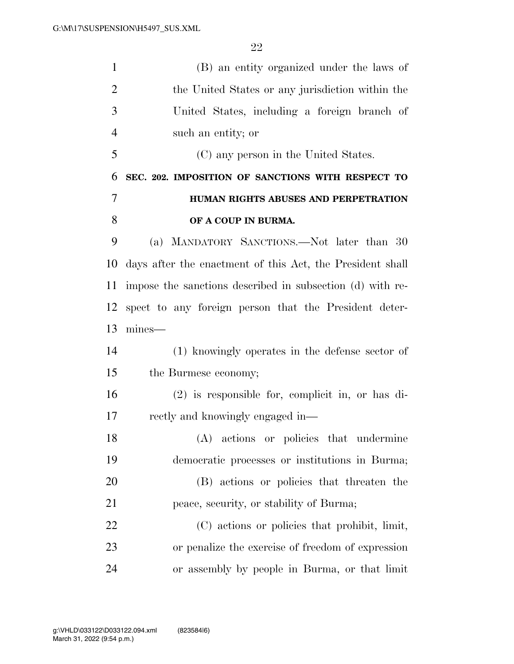| $\mathbf{1}$   | (B) an entity organized under the laws of                 |
|----------------|-----------------------------------------------------------|
| $\overline{2}$ | the United States or any jurisdiction within the          |
| 3              | United States, including a foreign branch of              |
| $\overline{4}$ | such an entity; or                                        |
| 5              | (C) any person in the United States.                      |
| 6              | SEC. 202. IMPOSITION OF SANCTIONS WITH RESPECT TO         |
| 7              | HUMAN RIGHTS ABUSES AND PERPETRATION                      |
| 8              | OF A COUP IN BURMA.                                       |
| 9              | (a) MANDATORY SANCTIONS.—Not later than 30                |
| 10             | days after the enactment of this Act, the President shall |
| 11             | impose the sanctions described in subsection (d) with re- |
| 12             | spect to any foreign person that the President deter-     |
| 13             | mines—                                                    |
| 14             | (1) knowingly operates in the defense sector of           |
| 15             | the Burmese economy;                                      |
| 16             | $(2)$ is responsible for, complicit in, or has di-        |
| 17             | rectly and knowingly engaged in—                          |
| 18             | (A) actions or policies that undermine                    |
| 19             | democratic processes or institutions in Burma;            |
| 20             | (B) actions or policies that threaten the                 |
| 21             | peace, security, or stability of Burma;                   |
| 22             | (C) actions or policies that prohibit, limit,             |
| 23             | or penalize the exercise of freedom of expression         |
| 24             | or assembly by people in Burma, or that limit             |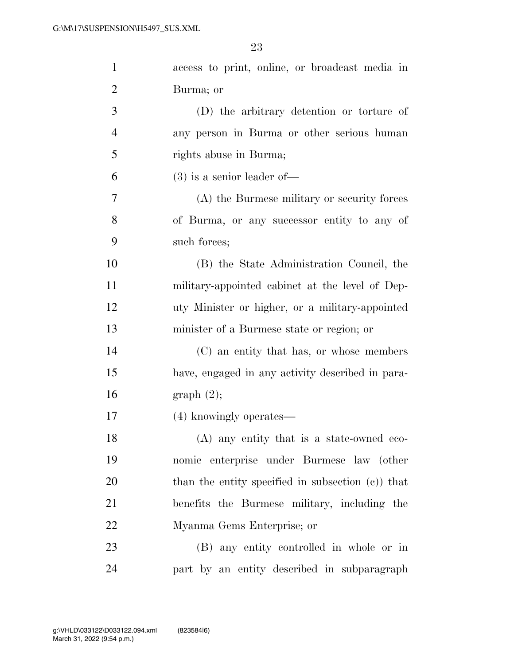| $\mathbf{1}$   | access to print, online, or broadcast media in       |
|----------------|------------------------------------------------------|
| 2              | Burma; or                                            |
| 3              | (D) the arbitrary detention or torture of            |
| $\overline{4}$ | any person in Burma or other serious human           |
| 5              | rights abuse in Burma;                               |
| 6              | $(3)$ is a senior leader of —                        |
| 7              | (A) the Burmese military or security forces          |
| 8              | of Burma, or any successor entity to any of          |
| 9              | such forces;                                         |
| 10             | (B) the State Administration Council, the            |
| 11             | military-appointed cabinet at the level of Dep-      |
| 12             | uty Minister or higher, or a military-appointed      |
| 13             | minister of a Burmese state or region; or            |
| 14             | (C) an entity that has, or whose members             |
| 15             | have, engaged in any activity described in para-     |
| 16             | graph(2);                                            |
| 17             | (4) knowingly operates—                              |
| 18             | (A) any entity that is a state-owned eco-            |
| 19             | nomic enterprise under Burmese law (other            |
| 20             | than the entity specified in subsection $(c)$ ) that |
| 21             | benefits the Burmese military, including the         |
| 22             | Myanma Gems Enterprise; or                           |
| 23             | (B) any entity controlled in whole or in             |
| 24             | part by an entity described in subparagraph          |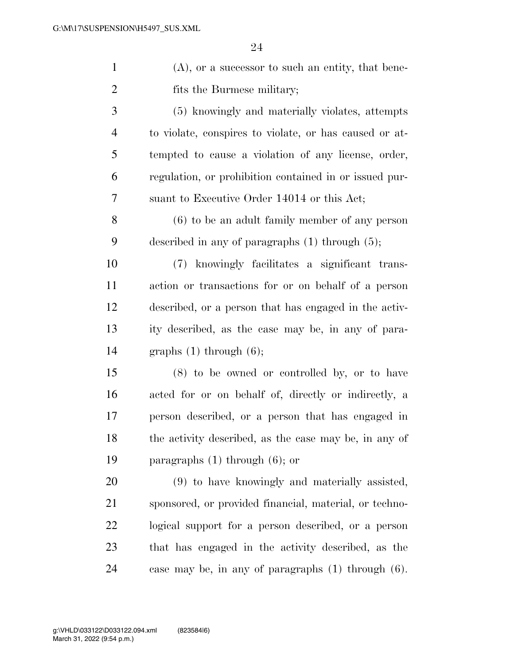| $\mathbf{1}$   | $(A)$ , or a successor to such an entity, that bene-    |
|----------------|---------------------------------------------------------|
| $\overline{2}$ | fits the Burmese military;                              |
| 3              | (5) knowingly and materially violates, attempts         |
| $\overline{4}$ | to violate, conspires to violate, or has caused or at-  |
| 5              | tempted to cause a violation of any license, order,     |
| 6              | regulation, or prohibition contained in or issued pur-  |
| 7              | suant to Executive Order 14014 or this Act;             |
| 8              | $(6)$ to be an adult family member of any person        |
| 9              | described in any of paragraphs $(1)$ through $(5)$ ;    |
| 10             | (7) knowingly facilitates a significant trans-          |
| 11             | action or transactions for or on behalf of a person     |
| 12             | described, or a person that has engaged in the activ-   |
| 13             | ity described, as the case may be, in any of para-      |
| 14             | graphs $(1)$ through $(6)$ ;                            |
| 15             | (8) to be owned or controlled by, or to have            |
| 16             | acted for or on behalf of, directly or indirectly, a    |
| 17             | person described, or a person that has engaged in       |
| 18             | the activity described, as the case may be, in any of   |
| 19             | paragraphs $(1)$ through $(6)$ ; or                     |
| 20             | (9) to have knowingly and materially assisted,          |
| 21             | sponsored, or provided financial, material, or techno-  |
| 22             | logical support for a person described, or a person     |
| 23             | that has engaged in the activity described, as the      |
| 24             | case may be, in any of paragraphs $(1)$ through $(6)$ . |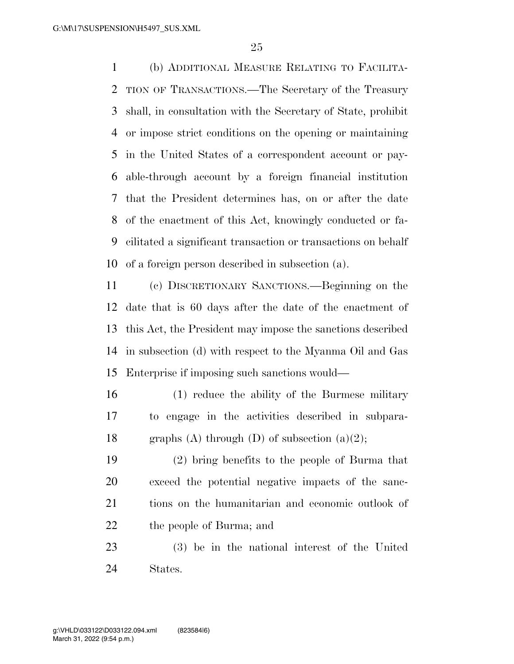(b) ADDITIONAL MEASURE RELATING TO FACILITA- TION OF TRANSACTIONS.—The Secretary of the Treasury shall, in consultation with the Secretary of State, prohibit or impose strict conditions on the opening or maintaining in the United States of a correspondent account or pay- able-through account by a foreign financial institution that the President determines has, on or after the date of the enactment of this Act, knowingly conducted or fa- cilitated a significant transaction or transactions on behalf of a foreign person described in subsection (a).

 (c) DISCRETIONARY SANCTIONS.—Beginning on the date that is 60 days after the date of the enactment of this Act, the President may impose the sanctions described in subsection (d) with respect to the Myanma Oil and Gas Enterprise if imposing such sanctions would—

- (1) reduce the ability of the Burmese military to engage in the activities described in subpara-18 graphs (A) through (D) of subsection  $(a)(2)$ ;
- (2) bring benefits to the people of Burma that exceed the potential negative impacts of the sanc- tions on the humanitarian and economic outlook of the people of Burma; and
- (3) be in the national interest of the United States.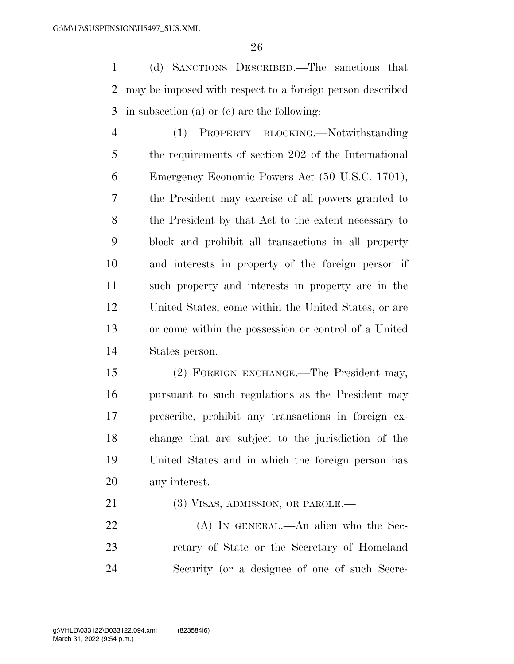(d) SANCTIONS DESCRIBED.—The sanctions that may be imposed with respect to a foreign person described in subsection (a) or (c) are the following:

 (1) PROPERTY BLOCKING.—Notwithstanding the requirements of section 202 of the International Emergency Economic Powers Act (50 U.S.C. 1701), the President may exercise of all powers granted to the President by that Act to the extent necessary to block and prohibit all transactions in all property and interests in property of the foreign person if such property and interests in property are in the United States, come within the United States, or are or come within the possession or control of a United States person.

 (2) FOREIGN EXCHANGE.—The President may, pursuant to such regulations as the President may prescribe, prohibit any transactions in foreign ex- change that are subject to the jurisdiction of the United States and in which the foreign person has any interest.

21 (3) VISAS, ADMISSION, OR PAROLE.—

 (A) IN GENERAL.—An alien who the Sec- retary of State or the Secretary of Homeland Security (or a designee of one of such Secre-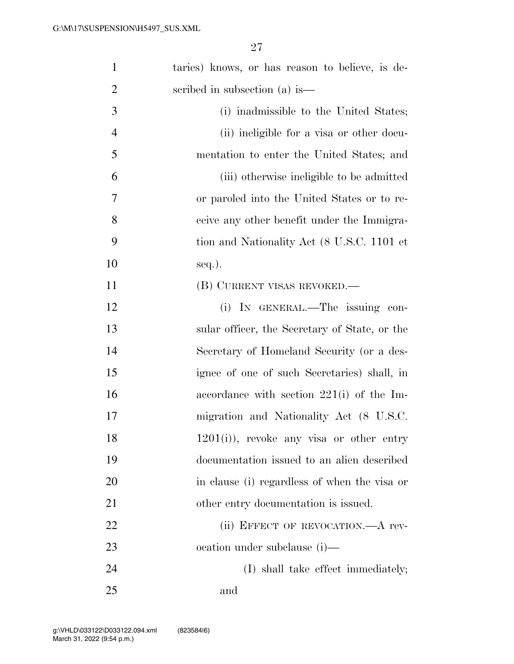| $\mathbf{1}$   | taries) knows, or has reason to believe, is de- |
|----------------|-------------------------------------------------|
| $\overline{2}$ | scribed in subsection (a) is—                   |
| 3              | (i) inadmissible to the United States;          |
| $\overline{4}$ | (ii) ineligible for a visa or other docu-       |
| 5              | mentation to enter the United States; and       |
| 6              | (iii) otherwise ineligible to be admitted       |
| 7              | or paroled into the United States or to re-     |
| 8              | ceive any other benefit under the Immigra-      |
| 9              | tion and Nationality Act (8 U.S.C. 1101 et      |
| 10             | $seq.$ ).                                       |
| 11             | (B) CURRENT VISAS REVOKED.—                     |
| 12             | (i) IN GENERAL.—The issuing con-                |
| 13             | sular officer, the Secretary of State, or the   |
| 14             | Secretary of Homeland Security (or a des-       |
| 15             | ignee of one of such Secretaries) shall, in     |
| 16             | accordance with section $221(i)$ of the Im-     |
| 17             | migration and Nationality Act (8 U.S.C.         |
| 18             | $1201(i)$ , revoke any visa or other entry      |
| 19             | documentation issued to an alien described      |
| 20             | in clause (i) regardless of when the visa or    |
| 21             | other entry documentation is issued.            |
| 22             | (ii) EFFECT OF REVOCATION.—A rev-               |
| 23             | ocation under subclause (i)—                    |
| 24             | (I) shall take effect immediately;              |
| 25             | and                                             |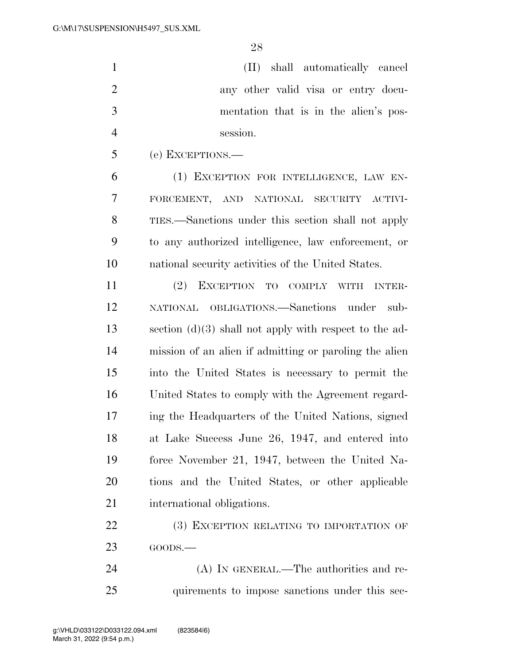(II) shall automatically cancel any other valid visa or entry docu- mentation that is in the alien's pos-session.

(e) EXCEPTIONS.—

 (1) EXCEPTION FOR INTELLIGENCE, LAW EN- FORCEMENT, AND NATIONAL SECURITY ACTIVI- TIES.—Sanctions under this section shall not apply to any authorized intelligence, law enforcement, or national security activities of the United States.

 (2) EXCEPTION TO COMPLY WITH INTER- NATIONAL OBLIGATIONS.—Sanctions under sub- section (d)(3) shall not apply with respect to the ad- mission of an alien if admitting or paroling the alien into the United States is necessary to permit the United States to comply with the Agreement regard- ing the Headquarters of the United Nations, signed at Lake Success June 26, 1947, and entered into force November 21, 1947, between the United Na- tions and the United States, or other applicable international obligations.

22 (3) EXCEPTION RELATING TO IMPORTATION OF GOODS.—

24 (A) IN GENERAL.—The authorities and re-25 quirements to impose sanctions under this sec-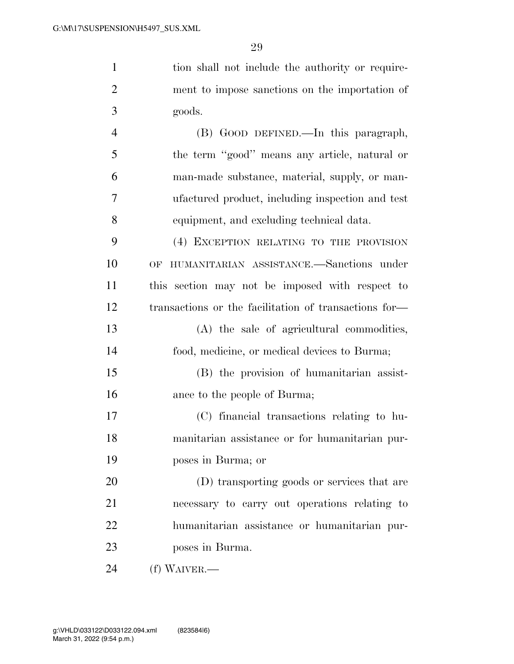| $\mathbf{1}$   | tion shall not include the authority or require-      |
|----------------|-------------------------------------------------------|
| $\overline{2}$ | ment to impose sanctions on the importation of        |
| 3              | goods.                                                |
| $\overline{4}$ | (B) GOOD DEFINED.—In this paragraph,                  |
| 5              | the term "good" means any article, natural or         |
| 6              | man-made substance, material, supply, or man-         |
| 7              | ufactured product, including inspection and test      |
| 8              | equipment, and excluding technical data.              |
| 9              | (4) EXCEPTION RELATING TO THE PROVISION               |
| 10             | HUMANITARIAN ASSISTANCE.-Sanctions under<br>OF        |
| 11             | this section may not be imposed with respect to       |
| 12             | transactions or the facilitation of transactions for- |
| 13             | (A) the sale of agricultural commodities,             |
| 14             | food, medicine, or medical devices to Burma;          |
| 15             | (B) the provision of humanitarian assist-             |
| 16             | ance to the people of Burma;                          |
| 17             | (C) financial transactions relating to hu-            |
| 18             | manitarian assistance or for humanitarian pur-        |
| 19             | poses in Burma; or                                    |
| 20             | (D) transporting goods or services that are           |
| 21             | necessary to carry out operations relating to         |
| 22             | humanitarian assistance or humanitarian pur-          |
| 23             | poses in Burma.                                       |
| 24             | (f) WAIVER.—                                          |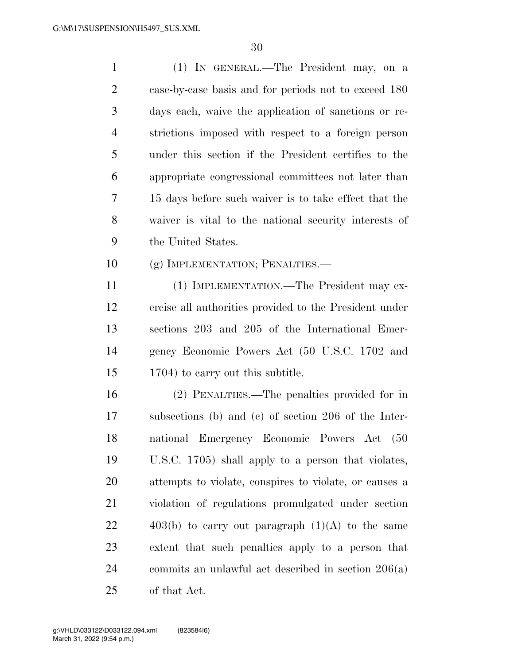| $\mathbf{1}$   | (1) IN GENERAL.—The President may, on a                |
|----------------|--------------------------------------------------------|
| $\overline{2}$ | case-by-case basis and for periods not to exceed 180   |
| 3              | days each, waive the application of sanctions or re-   |
| $\overline{4}$ | strictions imposed with respect to a foreign person    |
| 5              | under this section if the President certifies to the   |
| 6              | appropriate congressional committees not later than    |
| 7              | 15 days before such waiver is to take effect that the  |
| 8              | waiver is vital to the national security interests of  |
| 9              | the United States.                                     |
| 10             | (g) IMPLEMENTATION; PENALTIES.—                        |
| 11             | (1) IMPLEMENTATION.—The President may ex-              |
| 12             | ercise all authorities provided to the President under |
| 13             | sections 203 and 205 of the International Emer-        |
| 14             | gency Economic Powers Act (50 U.S.C. 1702 and          |
| 15             | 1704) to carry out this subtitle.                      |
| 16             | (2) PENALTIES.—The penalties provided for in           |
| 17             | subsections (b) and (c) of section 206 of the Inter-   |
| 18             | national Emergency Economic Powers Act (50             |
| 19             | U.S.C. 1705) shall apply to a person that violates,    |
| 20             | attempts to violate, conspires to violate, or causes a |
| 21             | violation of regulations promulgated under section     |
| 22             | $403(b)$ to carry out paragraph $(1)(A)$ to the same   |
| 23             | extent that such penalties apply to a person that      |
| 24             | commits an unlawful act described in section $206(a)$  |
| 25             | of that Act.                                           |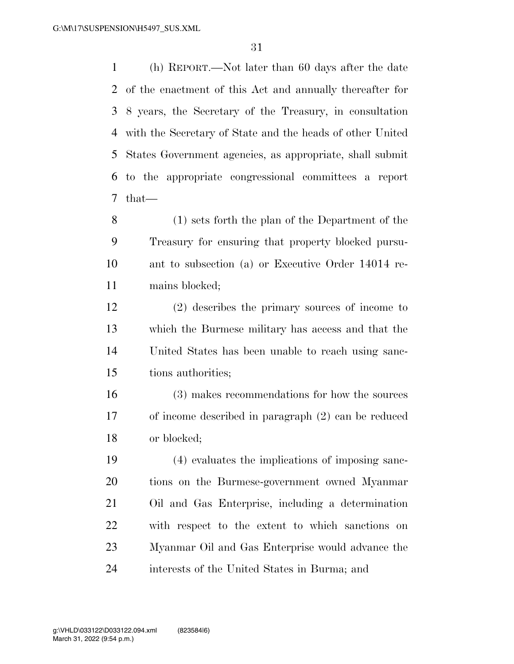(h) REPORT.—Not later than 60 days after the date of the enactment of this Act and annually thereafter for 8 years, the Secretary of the Treasury, in consultation with the Secretary of State and the heads of other United States Government agencies, as appropriate, shall submit to the appropriate congressional committees a report that—

 (1) sets forth the plan of the Department of the Treasury for ensuring that property blocked pursu- ant to subsection (a) or Executive Order 14014 re-mains blocked;

 (2) describes the primary sources of income to which the Burmese military has access and that the United States has been unable to reach using sanc-tions authorities;

 (3) makes recommendations for how the sources of income described in paragraph (2) can be reduced or blocked;

 (4) evaluates the implications of imposing sanc- tions on the Burmese-government owned Myanmar Oil and Gas Enterprise, including a determination with respect to the extent to which sanctions on Myanmar Oil and Gas Enterprise would advance the interests of the United States in Burma; and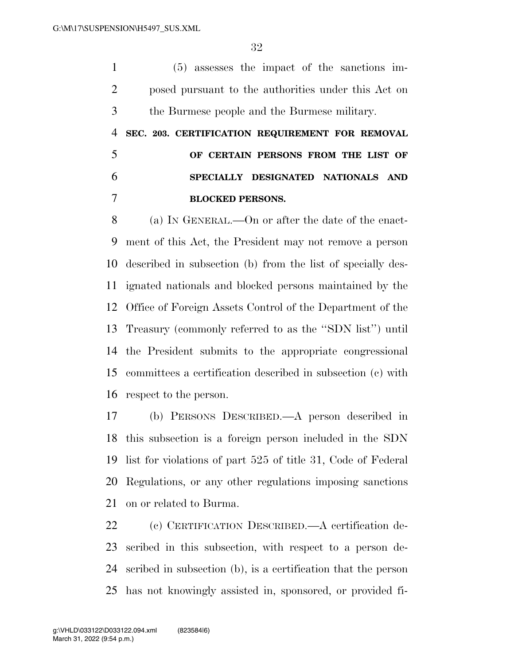(5) assesses the impact of the sanctions im- posed pursuant to the authorities under this Act on the Burmese people and the Burmese military.

 **SEC. 203. CERTIFICATION REQUIREMENT FOR REMOVAL OF CERTAIN PERSONS FROM THE LIST OF SPECIALLY DESIGNATED NATIONALS AND BLOCKED PERSONS.** 

 (a) IN GENERAL.—On or after the date of the enact- ment of this Act, the President may not remove a person described in subsection (b) from the list of specially des- ignated nationals and blocked persons maintained by the Office of Foreign Assets Control of the Department of the Treasury (commonly referred to as the ''SDN list'') until the President submits to the appropriate congressional committees a certification described in subsection (c) with respect to the person.

 (b) PERSONS DESCRIBED.—A person described in this subsection is a foreign person included in the SDN list for violations of part 525 of title 31, Code of Federal Regulations, or any other regulations imposing sanctions on or related to Burma.

 (c) CERTIFICATION DESCRIBED.—A certification de- scribed in this subsection, with respect to a person de- scribed in subsection (b), is a certification that the person has not knowingly assisted in, sponsored, or provided fi-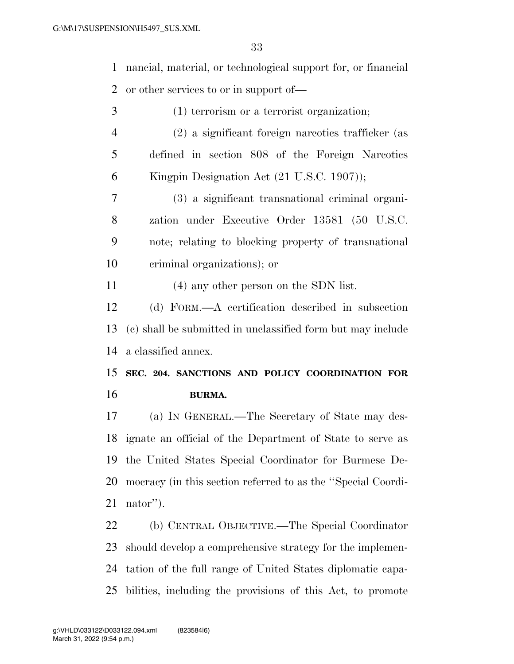nancial, material, or technological support for, or financial or other services to or in support of—

- (1) terrorism or a terrorist organization;
- (2) a significant foreign narcotics trafficker (as defined in section 808 of the Foreign Narcotics Kingpin Designation Act (21 U.S.C. 1907));
- (3) a significant transnational criminal organi- zation under Executive Order 13581 (50 U.S.C. note; relating to blocking property of transnational criminal organizations); or

(4) any other person on the SDN list.

 (d) FORM.—A certification described in subsection (c) shall be submitted in unclassified form but may include a classified annex.

 **SEC. 204. SANCTIONS AND POLICY COORDINATION FOR BURMA.** 

 (a) IN GENERAL.—The Secretary of State may des- ignate an official of the Department of State to serve as the United States Special Coordinator for Burmese De- mocracy (in this section referred to as the ''Special Coordi-nator'').

 (b) CENTRAL OBJECTIVE.—The Special Coordinator should develop a comprehensive strategy for the implemen- tation of the full range of United States diplomatic capa-bilities, including the provisions of this Act, to promote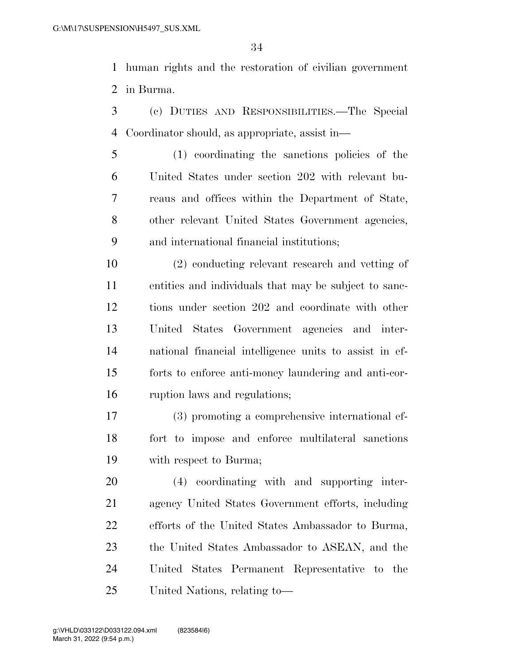human rights and the restoration of civilian government in Burma.

- (c) DUTIES AND RESPONSIBILITIES.—The Special Coordinator should, as appropriate, assist in—
- (1) coordinating the sanctions policies of the United States under section 202 with relevant bu- reaus and offices within the Department of State, other relevant United States Government agencies, and international financial institutions;
- (2) conducting relevant research and vetting of entities and individuals that may be subject to sanc- tions under section 202 and coordinate with other United States Government agencies and inter- national financial intelligence units to assist in ef- forts to enforce anti-money laundering and anti-cor-ruption laws and regulations;
- (3) promoting a comprehensive international ef- fort to impose and enforce multilateral sanctions with respect to Burma;

 (4) coordinating with and supporting inter- agency United States Government efforts, including efforts of the United States Ambassador to Burma, the United States Ambassador to ASEAN, and the United States Permanent Representative to the United Nations, relating to—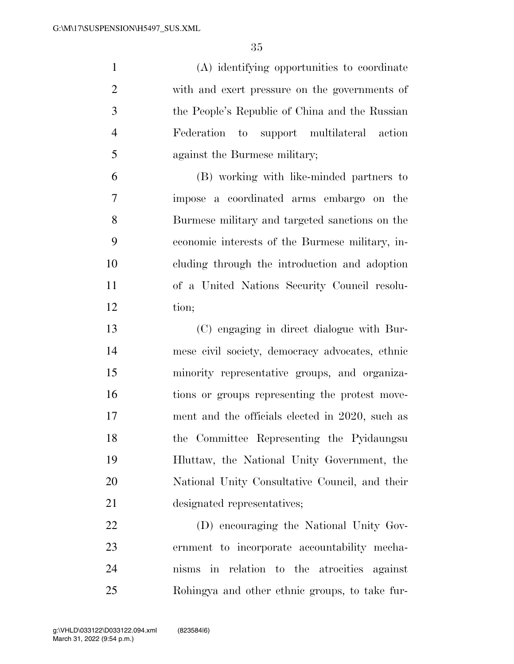(A) identifying opportunities to coordinate with and exert pressure on the governments of the People's Republic of China and the Russian Federation to support multilateral action against the Burmese military;

 (B) working with like-minded partners to impose a coordinated arms embargo on the Burmese military and targeted sanctions on the economic interests of the Burmese military, in- cluding through the introduction and adoption of a United Nations Security Council resolu-tion;

 (C) engaging in direct dialogue with Bur- mese civil society, democracy advocates, ethnic minority representative groups, and organiza- tions or groups representing the protest move- ment and the officials elected in 2020, such as the Committee Representing the Pyidaungsu Hluttaw, the National Unity Government, the National Unity Consultative Council, and their designated representatives;

 (D) encouraging the National Unity Gov- ernment to incorporate accountability mecha- nisms in relation to the atrocities against Rohingya and other ethnic groups, to take fur-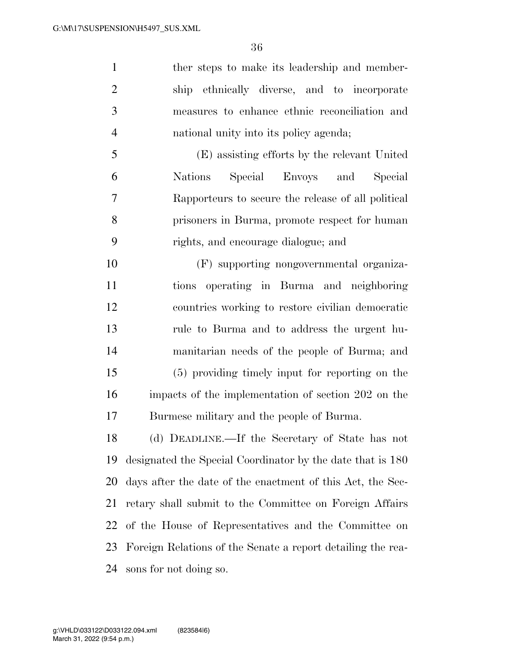1 ther steps to make its leadership and member- ship ethnically diverse, and to incorporate measures to enhance ethnic reconciliation and national unity into its policy agenda;

 (E) assisting efforts by the relevant United Nations Special Envoys and Special Rapporteurs to secure the release of all political prisoners in Burma, promote respect for human rights, and encourage dialogue; and

 (F) supporting nongovernmental organiza- tions operating in Burma and neighboring countries working to restore civilian democratic rule to Burma and to address the urgent hu- manitarian needs of the people of Burma; and (5) providing timely input for reporting on the impacts of the implementation of section 202 on the Burmese military and the people of Burma.

 (d) DEADLINE.—If the Secretary of State has not designated the Special Coordinator by the date that is 180 days after the date of the enactment of this Act, the Sec- retary shall submit to the Committee on Foreign Affairs of the House of Representatives and the Committee on Foreign Relations of the Senate a report detailing the rea-sons for not doing so.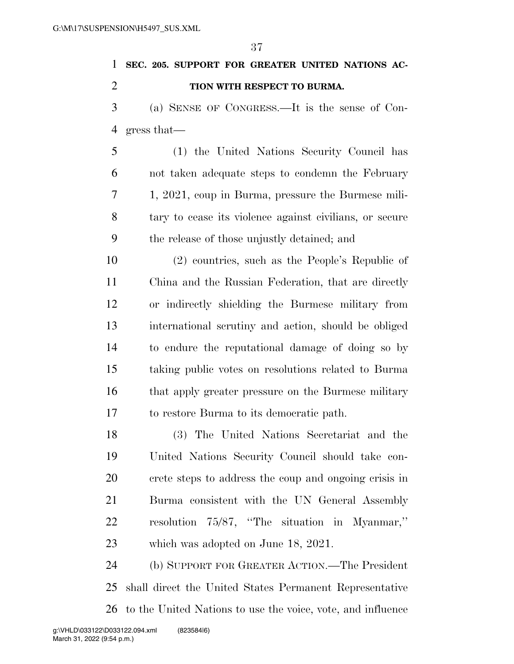| $\mathbf{1}$   | SEC. 205. SUPPORT FOR GREATER UNITED NATIONS AC-        |
|----------------|---------------------------------------------------------|
| $\overline{2}$ | TION WITH RESPECT TO BURMA.                             |
| 3              | (a) SENSE OF CONGRESS.—It is the sense of Con-          |
| $\overline{4}$ | gress that—                                             |
| 5              | (1) the United Nations Security Council has             |
| 6              | not taken adequate steps to condemn the February        |
| 7              | 1, 2021, coup in Burma, pressure the Burmese mili-      |
| 8              | tary to cease its violence against civilians, or secure |
| 9              | the release of those unjustly detained; and             |
| 10             | (2) countries, such as the People's Republic of         |
| 11             | China and the Russian Federation, that are directly     |
| 12             | or indirectly shielding the Burmese military from       |
| 13             | international scrutiny and action, should be obliged    |
| 14             | to endure the reputational damage of doing so by        |
| 15             | taking public votes on resolutions related to Burma     |
| 16             | that apply greater pressure on the Burmese military     |
| 17             | to restore Burma to its democratic path.                |
|                |                                                         |

 (3) The United Nations Secretariat and the United Nations Security Council should take con- crete steps to address the coup and ongoing crisis in Burma consistent with the UN General Assembly resolution 75/87, ''The situation in Myanmar,'' which was adopted on June 18, 2021.

 (b) SUPPORT FOR GREATER ACTION.—The President shall direct the United States Permanent Representative to the United Nations to use the voice, vote, and influence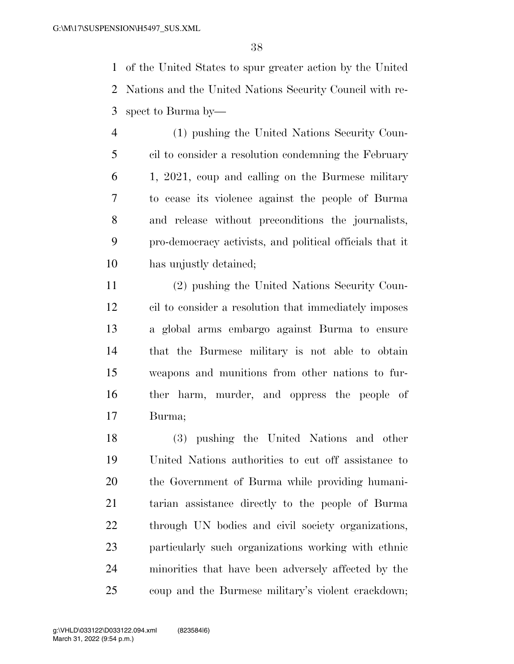of the United States to spur greater action by the United Nations and the United Nations Security Council with re-spect to Burma by—

 (1) pushing the United Nations Security Coun- cil to consider a resolution condemning the February 1, 2021, coup and calling on the Burmese military to cease its violence against the people of Burma and release without preconditions the journalists, pro-democracy activists, and political officials that it has unjustly detained;

 (2) pushing the United Nations Security Coun- cil to consider a resolution that immediately imposes a global arms embargo against Burma to ensure that the Burmese military is not able to obtain weapons and munitions from other nations to fur- ther harm, murder, and oppress the people of Burma;

 (3) pushing the United Nations and other United Nations authorities to cut off assistance to the Government of Burma while providing humani- tarian assistance directly to the people of Burma through UN bodies and civil society organizations, particularly such organizations working with ethnic minorities that have been adversely affected by the coup and the Burmese military's violent crackdown;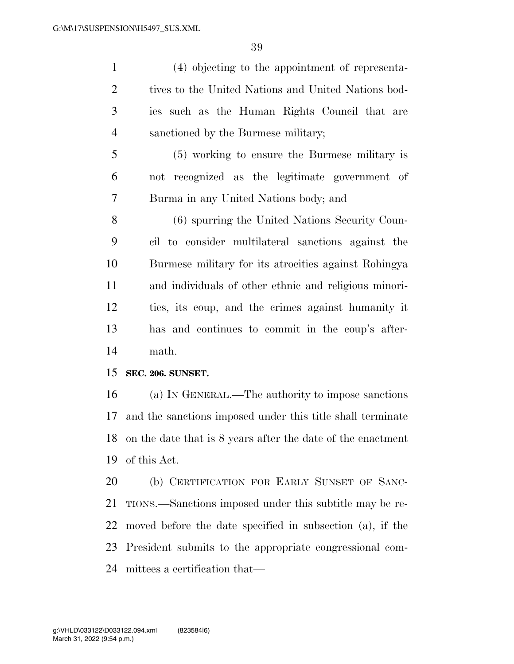(4) objecting to the appointment of representa-2 tives to the United Nations and United Nations bod- ies such as the Human Rights Council that are sanctioned by the Burmese military;

 (5) working to ensure the Burmese military is not recognized as the legitimate government of Burma in any United Nations body; and

 (6) spurring the United Nations Security Coun- cil to consider multilateral sanctions against the Burmese military for its atrocities against Rohingya and individuals of other ethnic and religious minori- ties, its coup, and the crimes against humanity it has and continues to commit in the coup's after-math.

### **SEC. 206. SUNSET.**

 (a) IN GENERAL.—The authority to impose sanctions and the sanctions imposed under this title shall terminate on the date that is 8 years after the date of the enactment of this Act.

 (b) CERTIFICATION FOR EARLY SUNSET OF SANC- TIONS.—Sanctions imposed under this subtitle may be re- moved before the date specified in subsection (a), if the President submits to the appropriate congressional com-mittees a certification that—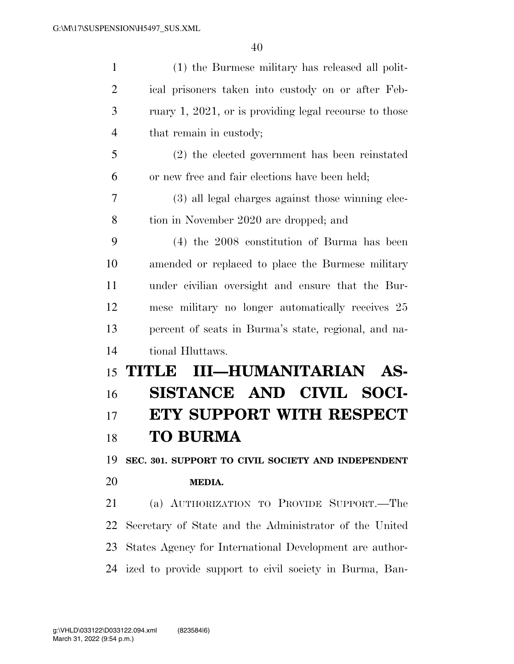| $\mathbf{1}$   | (1) the Burmese military has released all polit-           |
|----------------|------------------------------------------------------------|
| $\overline{2}$ | ical prisoners taken into custody on or after Feb-         |
| 3              | ruary 1, 2021, or is providing legal recourse to those     |
| $\overline{4}$ | that remain in custody;                                    |
| 5              | (2) the elected government has been reinstated             |
| 6              | or new free and fair elections have been held;             |
| 7              | (3) all legal charges against those winning elec-          |
| 8              | tion in November 2020 are dropped; and                     |
| 9              | $(4)$ the 2008 constitution of Burma has been              |
| 10             | amended or replaced to place the Burmese military          |
| 11             | under civilian oversight and ensure that the Bur-          |
| 12             | mese military no longer automatically receives 25          |
| 13             | percent of seats in Burma's state, regional, and na-       |
| 14             | tional Hluttaws.                                           |
| 15             | <b>III-HUMANITARIAN AS-</b><br>TITI JE                     |
| 16             | SISTANCE AND CIVIL SOCI-                                   |
| 17             | <b>ETY SUPPORT WITH RESPECT</b>                            |
| 18             | <b>TO BURMA</b>                                            |
| 19             | SEC. 301. SUPPORT TO CIVIL SOCIETY AND INDEPENDENT         |
| 20             | <b>MEDIA.</b>                                              |
| 21             | (a) AUTHORIZATION TO PROVIDE SUPPORT.—The                  |
| 22             | Secretary of State and the Administrator of the United     |
| 23             | States Agency for International Development are author-    |
|                | 24 ized to provide support to civil society in Burma, Ban- |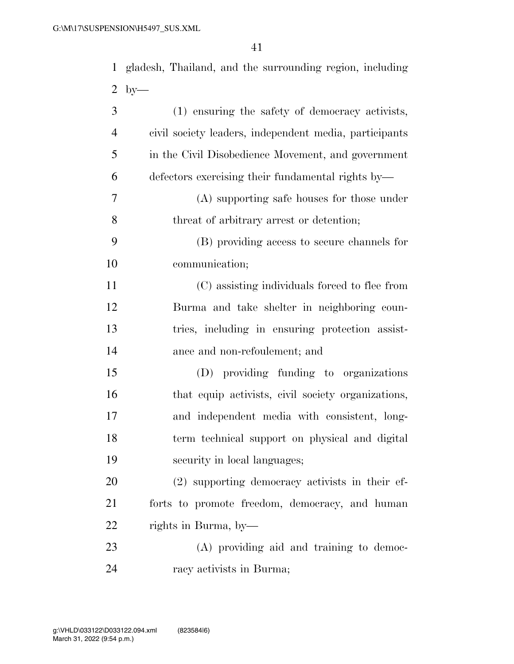| $\mathbf{1}$   | gladesh, Thailand, and the surrounding region, including |
|----------------|----------------------------------------------------------|
| $\overline{2}$ | $by-$                                                    |
| 3              | (1) ensuring the safety of democracy activists,          |
| $\overline{4}$ | civil society leaders, independent media, participants   |
| 5              | in the Civil Disobedience Movement, and government       |
| 6              | defectors exercising their fundamental rights by—        |
| 7              | (A) supporting safe houses for those under               |
| 8              | threat of arbitrary arrest or detention;                 |
| 9              | (B) providing access to secure channels for              |
| 10             | communication;                                           |
| 11             | (C) assisting individuals forced to flee from            |
| 12             | Burma and take shelter in neighboring coun-              |
| 13             | tries, including in ensuring protection assist-          |
| 14             | ance and non-refoulement; and                            |
| 15             | (D) providing funding to organizations                   |
| 16             | that equip activists, civil society organizations,       |
| 17             | and independent media with consistent, long-             |
| 18             | term technical support on physical and digital           |
| 19             | security in local languages;                             |
| 20             | (2) supporting democracy activists in their ef-          |
| 21             | forts to promote freedom, democracy, and human           |
| 22             | rights in Burma, by-                                     |
| 23             | (A) providing aid and training to democ-                 |
| 24             | racy activists in Burma;                                 |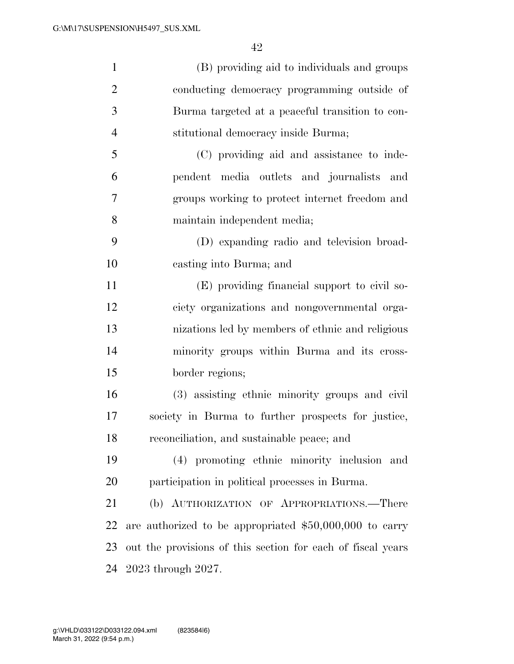| $\mathbf{1}$   | (B) providing aid to individuals and groups                 |
|----------------|-------------------------------------------------------------|
| $\overline{2}$ | conducting democracy programming outside of                 |
| 3              | Burma targeted at a peaceful transition to con-             |
| $\overline{4}$ | stitutional democracy inside Burma;                         |
| 5              | (C) providing aid and assistance to inde-                   |
| 6              | pendent media outlets and journalists and                   |
| 7              | groups working to protect internet freedom and              |
| 8              | maintain independent media;                                 |
| 9              | (D) expanding radio and television broad-                   |
| 10             | casting into Burma; and                                     |
| 11             | (E) providing financial support to civil so-                |
| 12             | ciety organizations and nongovernmental orga-               |
| 13             | nizations led by members of ethnic and religious            |
| 14             | minority groups within Burma and its cross-                 |
| 15             | border regions;                                             |
| 16             | (3) assisting ethnic minority groups and civil              |
| 17             | society in Burma to further prospects for justice,          |
| 18             | reconciliation, and sustainable peace; and                  |
| 19             | (4) promoting ethnic minority inclusion and                 |
| 20             | participation in political processes in Burma.              |
| 21             | (b) AUTHORIZATION OF APPROPRIATIONS.—There                  |
| 22             | are authorized to be appropriated $$50,000,000$ to carry    |
| 23             | out the provisions of this section for each of fiscal years |
| 24             | 2023 through 2027.                                          |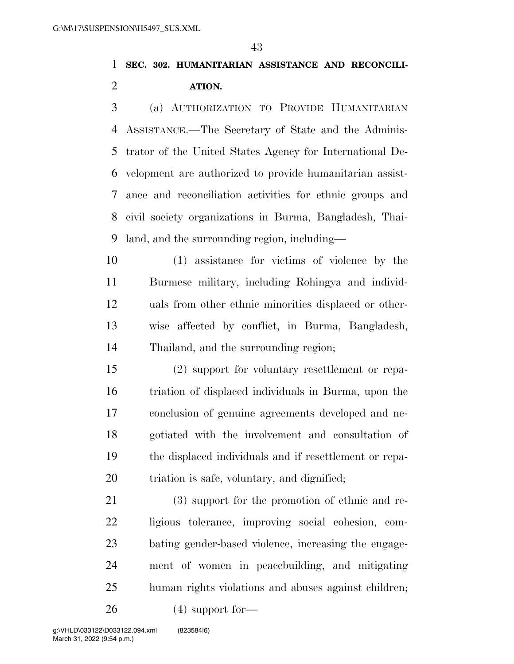# **SEC. 302. HUMANITARIAN ASSISTANCE AND RECONCILI-ATION.**

 (a) AUTHORIZATION TO PROVIDE HUMANITARIAN ASSISTANCE.—The Secretary of State and the Adminis- trator of the United States Agency for International De- velopment are authorized to provide humanitarian assist- ance and reconciliation activities for ethnic groups and civil society organizations in Burma, Bangladesh, Thai-land, and the surrounding region, including—

 (1) assistance for victims of violence by the Burmese military, including Rohingya and individ- uals from other ethnic minorities displaced or other- wise affected by conflict, in Burma, Bangladesh, Thailand, and the surrounding region;

 (2) support for voluntary resettlement or repa- triation of displaced individuals in Burma, upon the conclusion of genuine agreements developed and ne- gotiated with the involvement and consultation of the displaced individuals and if resettlement or repa-triation is safe, voluntary, and dignified;

 (3) support for the promotion of ethnic and re- ligious tolerance, improving social cohesion, com- bating gender-based violence, increasing the engage- ment of women in peacebuilding, and mitigating human rights violations and abuses against children;

(4) support for—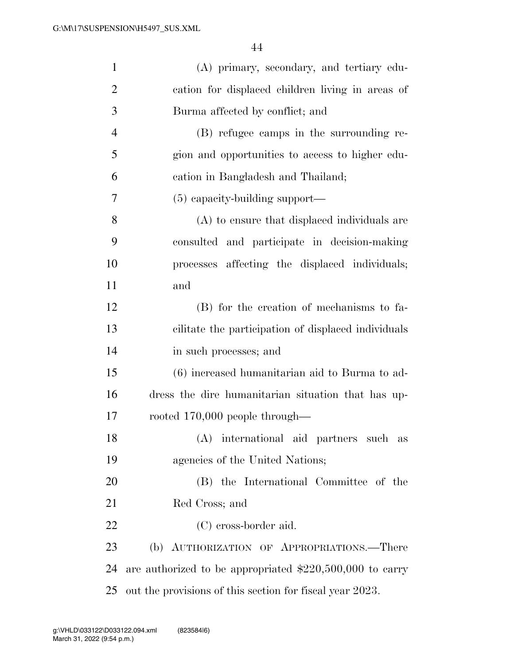| $\mathbf{1}$   | (A) primary, secondary, and tertiary edu-                 |
|----------------|-----------------------------------------------------------|
| $\overline{2}$ | cation for displaced children living in areas of          |
| 3              | Burma affected by conflict; and                           |
| $\overline{4}$ | (B) refugee camps in the surrounding re-                  |
| 5              | gion and opportunities to access to higher edu-           |
| 6              | cation in Bangladesh and Thailand;                        |
| 7              | $(5)$ capacity-building support—                          |
| $8\,$          | (A) to ensure that displaced individuals are              |
| 9              | consulted and participate in decision-making              |
| 10             | processes affecting the displaced individuals;            |
| 11             | and                                                       |
| 12             | (B) for the creation of mechanisms to fa-                 |
| 13             | cilitate the participation of displaced individuals       |
| 14             | in such processes; and                                    |
| 15             | (6) increased humanitarian aid to Burma to ad-            |
| 16             | dress the dire humanitarian situation that has up-        |
| 17             | rooted $170,000$ people through—                          |
| 18             | (A) international aid partners such as                    |
| 19             | agencies of the United Nations;                           |
| 20             | (B) the International Committee of the                    |
| 21             | Red Cross; and                                            |
| 22             | (C) cross-border aid.                                     |
| 23             | (b) AUTHORIZATION OF APPROPRIATIONS.—There                |
| 24             | are authorized to be appropriated $$220,500,000$ to carry |
| 25             | out the provisions of this section for fiscal year 2023.  |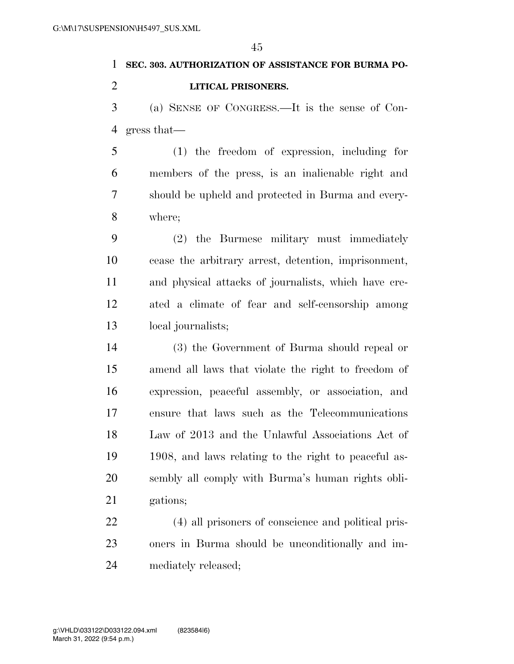# **SEC. 303. AUTHORIZATION OF ASSISTANCE FOR BURMA PO-**

# **LITICAL PRISONERS.**

 (a) SENSE OF CONGRESS.—It is the sense of Con-gress that—

 (1) the freedom of expression, including for members of the press, is an inalienable right and should be upheld and protected in Burma and every-where;

 (2) the Burmese military must immediately cease the arbitrary arrest, detention, imprisonment, and physical attacks of journalists, which have cre- ated a climate of fear and self-censorship among local journalists;

 (3) the Government of Burma should repeal or amend all laws that violate the right to freedom of expression, peaceful assembly, or association, and ensure that laws such as the Telecommunications Law of 2013 and the Unlawful Associations Act of 1908, and laws relating to the right to peaceful as- sembly all comply with Burma's human rights obli-21 gations:

 (4) all prisoners of conscience and political pris- oners in Burma should be unconditionally and im-mediately released;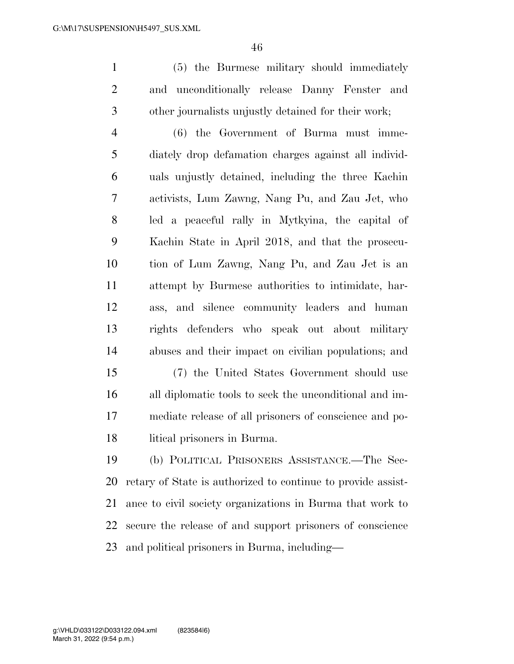(5) the Burmese military should immediately and unconditionally release Danny Fenster and other journalists unjustly detained for their work;

 (6) the Government of Burma must imme- diately drop defamation charges against all individ- uals unjustly detained, including the three Kachin activists, Lum Zawng, Nang Pu, and Zau Jet, who led a peaceful rally in Mytkyina, the capital of Kachin State in April 2018, and that the prosecu- tion of Lum Zawng, Nang Pu, and Zau Jet is an attempt by Burmese authorities to intimidate, har- ass, and silence community leaders and human rights defenders who speak out about military abuses and their impact on civilian populations; and

 (7) the United States Government should use all diplomatic tools to seek the unconditional and im- mediate release of all prisoners of conscience and po-litical prisoners in Burma.

 (b) POLITICAL PRISONERS ASSISTANCE.—The Sec- retary of State is authorized to continue to provide assist- ance to civil society organizations in Burma that work to secure the release of and support prisoners of conscience and political prisoners in Burma, including—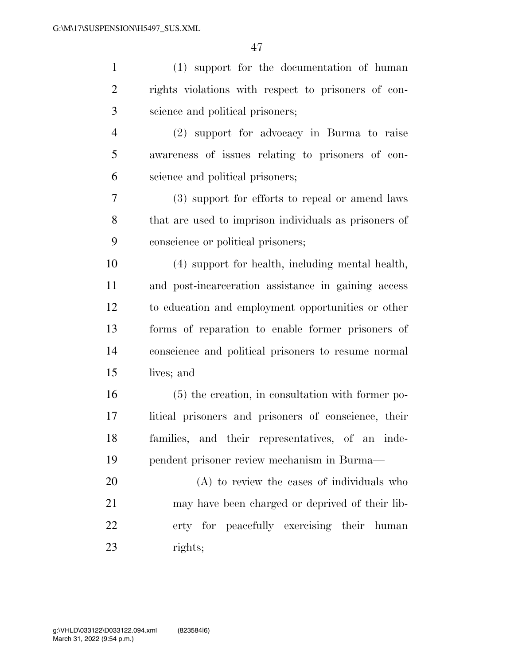| $\mathbf{1}$   | (1) support for the documentation of human            |
|----------------|-------------------------------------------------------|
| $\overline{2}$ | rights violations with respect to prisoners of con-   |
| 3              | science and political prisoners;                      |
| $\overline{4}$ | (2) support for advocacy in Burma to raise            |
| 5              | awareness of issues relating to prisoners of con-     |
| 6              | science and political prisoners;                      |
| 7              | (3) support for efforts to repeal or amend laws       |
| 8              | that are used to imprison individuals as prisoners of |
| 9              | conscience or political prisoners;                    |
| 10             | (4) support for health, including mental health,      |
| 11             | and post-incarceration assistance in gaining access   |
| 12             | to education and employment opportunities or other    |
| 13             | forms of reparation to enable former prisoners of     |
| 14             | conscience and political prisoners to resume normal   |
| 15             | lives; and                                            |
| 16             | (5) the creation, in consultation with former po-     |
| 17             | litical prisoners and prisoners of conscience, their  |
| 18             | families, and their representatives, of an inde-      |
| 19             | pendent prisoner review mechanism in Burma—           |
| 20             | (A) to review the cases of individuals who            |
| 21             | may have been charged or deprived of their lib-       |
| 22             | erty for peacefully exercising their human            |
| 23             | rights;                                               |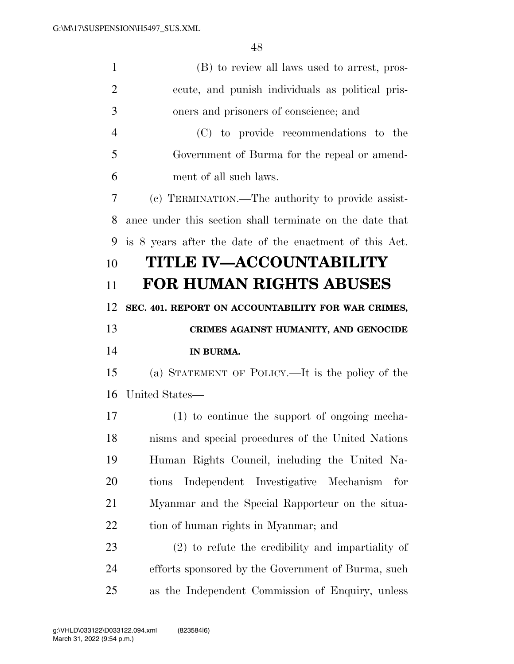| $\mathbf{1}$   | (B) to review all laws used to arrest, pros-             |
|----------------|----------------------------------------------------------|
| $\overline{2}$ | ecute, and punish individuals as political pris-         |
| 3              | oners and prisoners of conscience; and                   |
| $\overline{4}$ | (C) to provide recommendations to the                    |
| 5              | Government of Burma for the repeal or amend-             |
| 6              | ment of all such laws.                                   |
| 7              | (c) TERMINATION.—The authority to provide assist-        |
| 8              | ance under this section shall terminate on the date that |
| 9              | is 8 years after the date of the enactment of this Act.  |
| 10             | <b>TITLE IV-ACCOUNTABILITY</b>                           |
| 11             | <b>FOR HUMAN RIGHTS ABUSES</b>                           |
| 12             | SEC. 401. REPORT ON ACCOUNTABILITY FOR WAR CRIMES,       |
|                |                                                          |
| 13             | CRIMES AGAINST HUMANITY, AND GENOCIDE                    |
| 14             | IN BURMA.                                                |
| 15             | (a) STATEMENT OF POLICY.—It is the policy of the         |
| 16             | United States-                                           |
| 17             | (1) to continue the support of ongoing mecha-            |
| 18             | nisms and special procedures of the United Nations       |
| 19             | Human Rights Council, including the United Na-           |
| 20             | Independent Investigative<br>Mechanism<br>for<br>tions   |
| 21             | Myanmar and the Special Rapporteur on the situa-         |
| 22             | tion of human rights in Myanmar; and                     |
| 23             | $(2)$ to refute the credibility and impartiality of      |
| 24             | efforts sponsored by the Government of Burma, such       |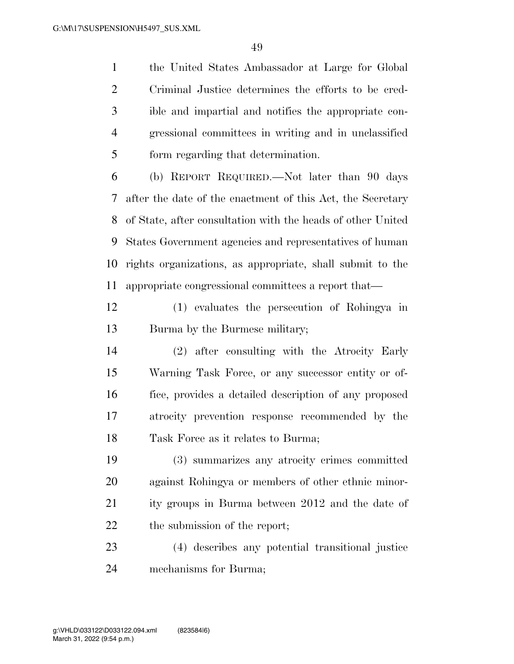the United States Ambassador at Large for Global Criminal Justice determines the efforts to be cred- ible and impartial and notifies the appropriate con- gressional committees in writing and in unclassified form regarding that determination.

 (b) REPORT REQUIRED.—Not later than 90 days after the date of the enactment of this Act, the Secretary of State, after consultation with the heads of other United States Government agencies and representatives of human rights organizations, as appropriate, shall submit to the appropriate congressional committees a report that—

 (1) evaluates the persecution of Rohingya in Burma by the Burmese military;

 (2) after consulting with the Atrocity Early Warning Task Force, or any successor entity or of- fice, provides a detailed description of any proposed atrocity prevention response recommended by the 18 Task Force as it relates to Burma;

 (3) summarizes any atrocity crimes committed against Rohingya or members of other ethnic minor- ity groups in Burma between 2012 and the date of the submission of the report;

 (4) describes any potential transitional justice mechanisms for Burma;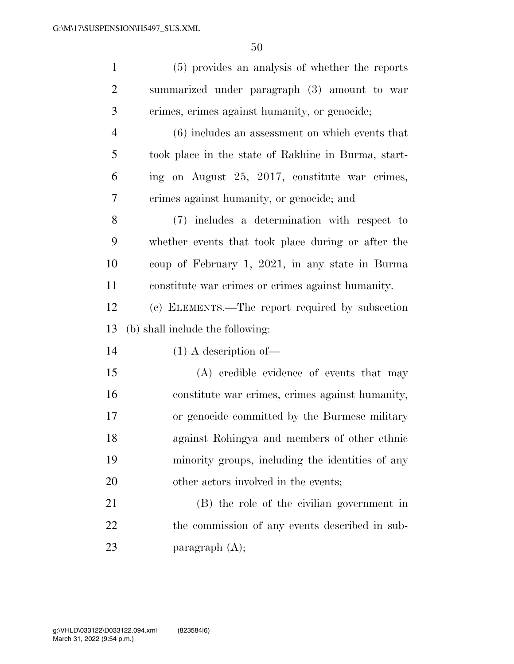| $\mathbf{1}$   | (5) provides an analysis of whether the reports     |
|----------------|-----------------------------------------------------|
| $\overline{2}$ | summarized under paragraph (3) amount to war        |
| 3              | crimes, crimes against humanity, or genocide;       |
| $\overline{4}$ | (6) includes an assessment on which events that     |
| 5              | took place in the state of Rakhine in Burma, start- |
| 6              | ing on August 25, 2017, constitute war crimes,      |
| $\overline{7}$ | crimes against humanity, or genocide; and           |
| 8              | (7) includes a determination with respect to        |
| 9              | whether events that took place during or after the  |
| 10             | coup of February 1, 2021, in any state in Burma     |
| 11             | constitute war crimes or crimes against humanity.   |
| 12             | (c) ELEMENTS.—The report required by subsection     |
| 13             | (b) shall include the following:                    |
| 14             | $(1)$ A description of —                            |
| 15             | (A) credible evidence of events that may            |
| 16             | constitute war crimes, crimes against humanity,     |
| 17             | or genocide committed by the Burmese military       |
| 18             | against Rohingya and members of other ethnic        |
| 19             | minority groups, including the identities of any    |
| 20             | other actors involved in the events;                |
| 21             | (B) the role of the civilian government in          |
| 22             | the commission of any events described in sub-      |
| 23             | paragraph $(A)$ ;                                   |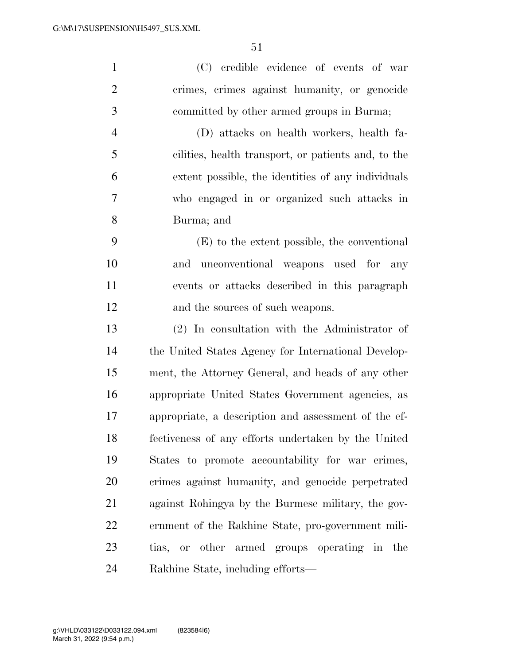| $\mathbf{1}$   | (C) credible evidence of events of war               |
|----------------|------------------------------------------------------|
| $\mathbf{2}$   | crimes, crimes against humanity, or genocide         |
| 3              | committed by other armed groups in Burma;            |
| $\overline{4}$ | (D) attacks on health workers, health fa-            |
| 5              | cilities, health transport, or patients and, to the  |
| 6              | extent possible, the identities of any individuals   |
| 7              | who engaged in or organized such attacks in          |
| 8              | Burma; and                                           |
| 9              | (E) to the extent possible, the conventional         |
| 10             | unconventional weapons used for<br>and<br>any        |
| 11             | events or attacks described in this paragraph        |
| 12             | and the sources of such weapons.                     |
| 13             | $(2)$ In consultation with the Administrator of      |
| 14             | the United States Agency for International Develop-  |
| 15             | ment, the Attorney General, and heads of any other   |
| 16             | appropriate United States Government agencies, as    |
| 17             | appropriate, a description and assessment of the ef- |
| 18             | fectiveness of any efforts undertaken by the United  |
| 19             | States to promote accountability for war crimes,     |
| 20             | crimes against humanity, and genocide perpetrated    |
| 21             | against Rohingya by the Burmese military, the gov-   |
| 22             | ernment of the Rakhine State, pro-government mili-   |
| 23             | tias, or other armed groups operating in the         |
|                |                                                      |

Rakhine State, including efforts—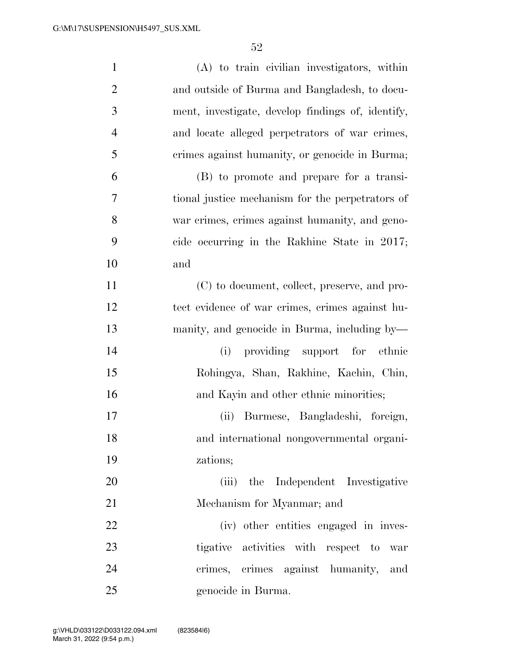| $\mathbf{1}$   | (A) to train civilian investigators, within       |
|----------------|---------------------------------------------------|
| $\overline{2}$ | and outside of Burma and Bangladesh, to docu-     |
| 3              | ment, investigate, develop findings of, identify, |
| $\overline{4}$ | and locate alleged perpetrators of war crimes,    |
| 5              | crimes against humanity, or genocide in Burma;    |
| 6              | (B) to promote and prepare for a transi-          |
| $\overline{7}$ | tional justice mechanism for the perpetrators of  |
| 8              | war crimes, crimes against humanity, and geno-    |
| 9              | cide occurring in the Rakhine State in 2017;      |
| 10             | and                                               |
| 11             | (C) to document, collect, preserve, and pro-      |
| 12             | tect evidence of war crimes, crimes against hu-   |
| 13             | manity, and genocide in Burma, including by—      |
| 14             | (i) providing support for ethnic                  |
| 15             | Rohingya, Shan, Rakhine, Kachin, Chin,            |
| 16             | and Kayin and other ethnic minorities;            |
| 17             | (ii)<br>Burmese, Bangladeshi, foreign,            |
| 18             | and international nongovernmental organi-         |
| 19             | zations;                                          |
| 20             | (iii) the Independent Investigative               |
| 21             | Mechanism for Myanmar; and                        |
| 22             | (iv) other entities engaged in inves-             |
| 23             | tigative activities with respect to war           |
| 24             | crimes, crimes against humanity,<br>and           |
| 25             | genocide in Burma.                                |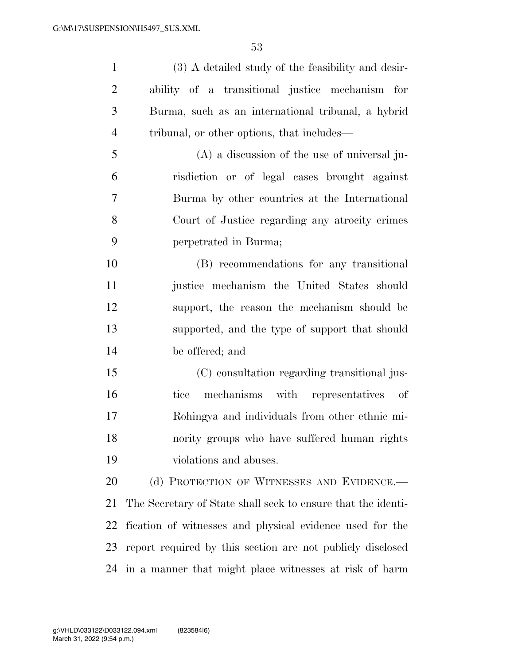(3) A detailed study of the feasibility and desir- ability of a transitional justice mechanism for Burma, such as an international tribunal, a hybrid tribunal, or other options, that includes— (A) a discussion of the use of universal ju- risdiction or of legal cases brought against Burma by other countries at the International Court of Justice regarding any atrocity crimes

perpetrated in Burma;

 (B) recommendations for any transitional justice mechanism the United States should support, the reason the mechanism should be supported, and the type of support that should be offered; and

 (C) consultation regarding transitional jus- tice mechanisms with representatives of Rohingya and individuals from other ethnic mi- nority groups who have suffered human rights violations and abuses.

20 (d) PROTECTION OF WITNESSES AND EVIDENCE. The Secretary of State shall seek to ensure that the identi- fication of witnesses and physical evidence used for the report required by this section are not publicly disclosed in a manner that might place witnesses at risk of harm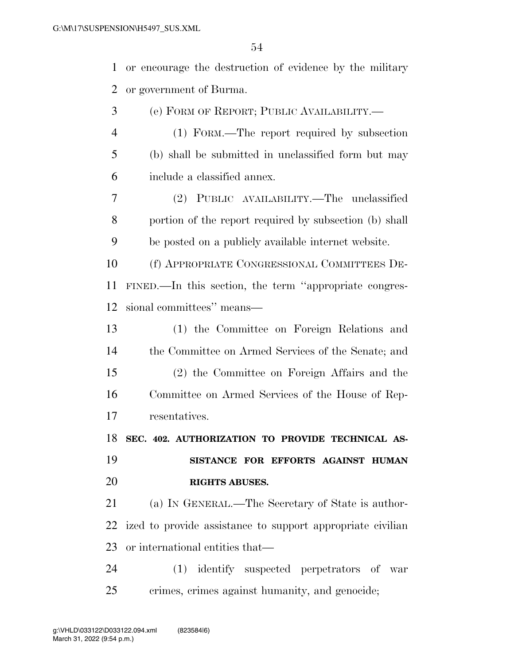or encourage the destruction of evidence by the military or government of Burma. (e) FORM OF REPORT; PUBLIC AVAILABILITY.— (1) FORM.—The report required by subsection (b) shall be submitted in unclassified form but may include a classified annex. (2) PUBLIC AVAILABILITY.—The unclassified portion of the report required by subsection (b) shall be posted on a publicly available internet website. (f) APPROPRIATE CONGRESSIONAL COMMITTEES DE-

 FINED.—In this section, the term ''appropriate congres-sional committees'' means—

 (1) the Committee on Foreign Relations and the Committee on Armed Services of the Senate; and (2) the Committee on Foreign Affairs and the Committee on Armed Services of the House of Rep-resentatives.

**SEC. 402. AUTHORIZATION TO PROVIDE TECHNICAL AS-**

 **SISTANCE FOR EFFORTS AGAINST HUMAN RIGHTS ABUSES.** 

 (a) IN GENERAL.—The Secretary of State is author- ized to provide assistance to support appropriate civilian or international entities that—

 (1) identify suspected perpetrators of war crimes, crimes against humanity, and genocide;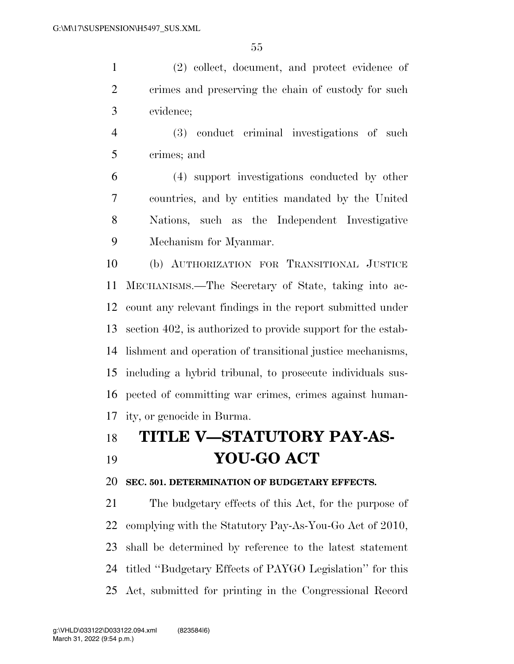(2) collect, document, and protect evidence of crimes and preserving the chain of custody for such evidence;

 (3) conduct criminal investigations of such crimes; and

 (4) support investigations conducted by other countries, and by entities mandated by the United Nations, such as the Independent Investigative Mechanism for Myanmar.

 (b) AUTHORIZATION FOR TRANSITIONAL JUSTICE MECHANISMS.—The Secretary of State, taking into ac- count any relevant findings in the report submitted under section 402, is authorized to provide support for the estab- lishment and operation of transitional justice mechanisms, including a hybrid tribunal, to prosecute individuals sus- pected of committing war crimes, crimes against human-ity, or genocide in Burma.

# **TITLE V—STATUTORY PAY-AS-YOU-GO ACT**

### **SEC. 501. DETERMINATION OF BUDGETARY EFFECTS.**

 The budgetary effects of this Act, for the purpose of complying with the Statutory Pay-As-You-Go Act of 2010, shall be determined by reference to the latest statement titled ''Budgetary Effects of PAYGO Legislation'' for this Act, submitted for printing in the Congressional Record